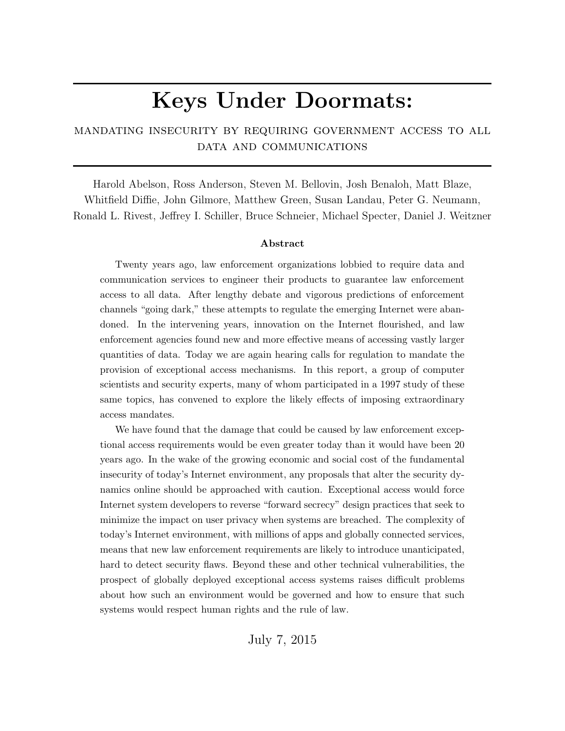# Keys Under Doormats:

mandating insecurity by requiring government access to all data and communications

Harold Abelson, Ross Anderson, Steven M. Bellovin, Josh Benaloh, Matt Blaze, Whitfield Diffie, John Gilmore, Matthew Green, Susan Landau, Peter G. Neumann, Ronald L. Rivest, Jeffrey I. Schiller, Bruce Schneier, Michael Specter, Daniel J. Weitzner

#### Abstract

Twenty years ago, law enforcement organizations lobbied to require data and communication services to engineer their products to guarantee law enforcement access to all data. After lengthy debate and vigorous predictions of enforcement channels "going dark," these attempts to regulate the emerging Internet were abandoned. In the intervening years, innovation on the Internet flourished, and law enforcement agencies found new and more effective means of accessing vastly larger quantities of data. Today we are again hearing calls for regulation to mandate the provision of exceptional access mechanisms. In this report, a group of computer scientists and security experts, many of whom participated in a 1997 study of these same topics, has convened to explore the likely effects of imposing extraordinary access mandates.

We have found that the damage that could be caused by law enforcement exceptional access requirements would be even greater today than it would have been 20 years ago. In the wake of the growing economic and social cost of the fundamental insecurity of today's Internet environment, any proposals that alter the security dynamics online should be approached with caution. Exceptional access would force Internet system developers to reverse "forward secrecy" design practices that seek to minimize the impact on user privacy when systems are breached. The complexity of today's Internet environment, with millions of apps and globally connected services, means that new law enforcement requirements are likely to introduce unanticipated, hard to detect security flaws. Beyond these and other technical vulnerabilities, the prospect of globally deployed exceptional access systems raises difficult problems about how such an environment would be governed and how to ensure that such systems would respect human rights and the rule of law.

July 7, 2015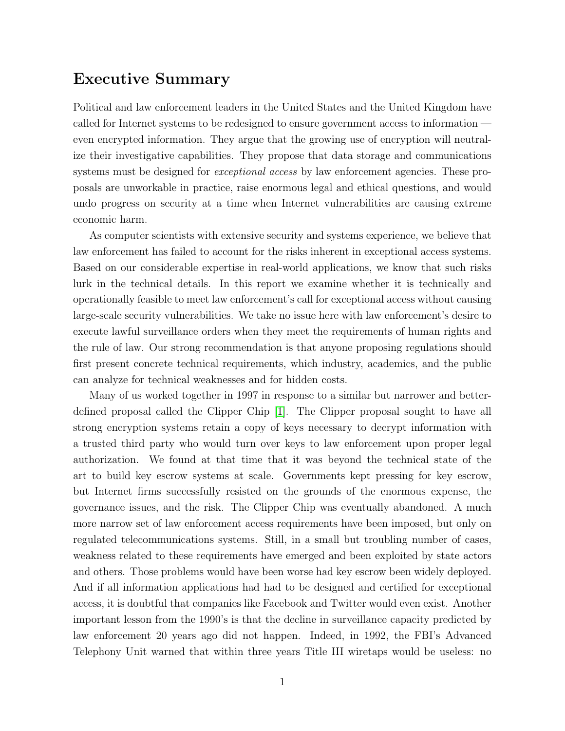## Executive Summary

Political and law enforcement leaders in the United States and the United Kingdom have called for Internet systems to be redesigned to ensure government access to information even encrypted information. They argue that the growing use of encryption will neutralize their investigative capabilities. They propose that data storage and communications systems must be designed for *exceptional access* by law enforcement agencies. These proposals are unworkable in practice, raise enormous legal and ethical questions, and would undo progress on security at a time when Internet vulnerabilities are causing extreme economic harm.

As computer scientists with extensive security and systems experience, we believe that law enforcement has failed to account for the risks inherent in exceptional access systems. Based on our considerable expertise in real-world applications, we know that such risks lurk in the technical details. In this report we examine whether it is technically and operationally feasible to meet law enforcement's call for exceptional access without causing large-scale security vulnerabilities. We take no issue here with law enforcement's desire to execute lawful surveillance orders when they meet the requirements of human rights and the rule of law. Our strong recommendation is that anyone proposing regulations should first present concrete technical requirements, which industry, academics, and the public can analyze for technical weaknesses and for hidden costs.

Many of us worked together in 1997 in response to a similar but narrower and betterdefined proposal called the Clipper Chip [\[1\]](#page-25-0). The Clipper proposal sought to have all strong encryption systems retain a copy of keys necessary to decrypt information with a trusted third party who would turn over keys to law enforcement upon proper legal authorization. We found at that time that it was beyond the technical state of the art to build key escrow systems at scale. Governments kept pressing for key escrow, but Internet firms successfully resisted on the grounds of the enormous expense, the governance issues, and the risk. The Clipper Chip was eventually abandoned. A much more narrow set of law enforcement access requirements have been imposed, but only on regulated telecommunications systems. Still, in a small but troubling number of cases, weakness related to these requirements have emerged and been exploited by state actors and others. Those problems would have been worse had key escrow been widely deployed. And if all information applications had had to be designed and certified for exceptional access, it is doubtful that companies like Facebook and Twitter would even exist. Another important lesson from the 1990's is that the decline in surveillance capacity predicted by law enforcement 20 years ago did not happen. Indeed, in 1992, the FBI's Advanced Telephony Unit warned that within three years Title III wiretaps would be useless: no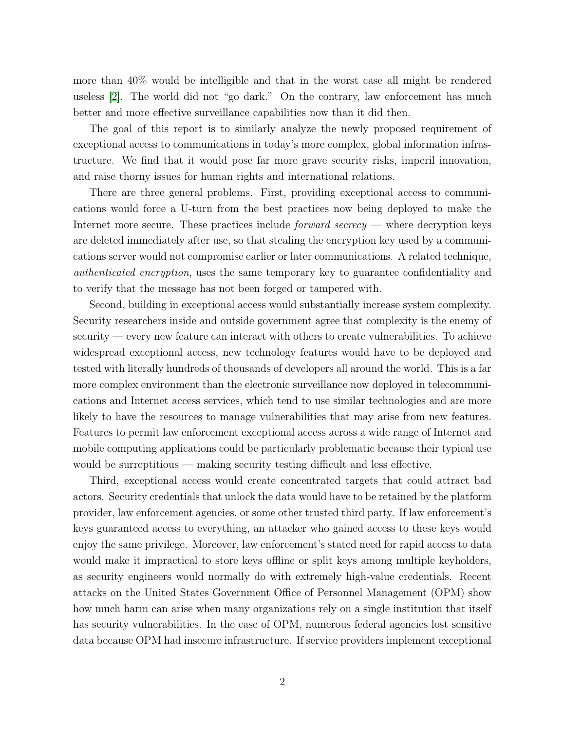more than 40% would be intelligible and that in the worst case all might be rendered useless [\[2\]](#page-25-1). The world did not "go dark." On the contrary, law enforcement has much better and more effective surveillance capabilities now than it did then.

The goal of this report is to similarly analyze the newly proposed requirement of exceptional access to communications in today's more complex, global information infrastructure. We find that it would pose far more grave security risks, imperil innovation, and raise thorny issues for human rights and international relations.

There are three general problems. First, providing exceptional access to communications would force a U-turn from the best practices now being deployed to make the Internet more secure. These practices include *forward secrecy* — where decryption keys are deleted immediately after use, so that stealing the encryption key used by a communications server would not compromise earlier or later communications. A related technique, authenticated encryption, uses the same temporary key to guarantee confidentiality and to verify that the message has not been forged or tampered with.

Second, building in exceptional access would substantially increase system complexity. Security researchers inside and outside government agree that complexity is the enemy of security — every new feature can interact with others to create vulnerabilities. To achieve widespread exceptional access, new technology features would have to be deployed and tested with literally hundreds of thousands of developers all around the world. This is a far more complex environment than the electronic surveillance now deployed in telecommunications and Internet access services, which tend to use similar technologies and are more likely to have the resources to manage vulnerabilities that may arise from new features. Features to permit law enforcement exceptional access across a wide range of Internet and mobile computing applications could be particularly problematic because their typical use would be surreptitious — making security testing difficult and less effective.

Third, exceptional access would create concentrated targets that could attract bad actors. Security credentials that unlock the data would have to be retained by the platform provider, law enforcement agencies, or some other trusted third party. If law enforcement's keys guaranteed access to everything, an attacker who gained access to these keys would enjoy the same privilege. Moreover, law enforcement's stated need for rapid access to data would make it impractical to store keys offline or split keys among multiple keyholders, as security engineers would normally do with extremely high-value credentials. Recent attacks on the United States Government Office of Personnel Management (OPM) show how much harm can arise when many organizations rely on a single institution that itself has security vulnerabilities. In the case of OPM, numerous federal agencies lost sensitive data because OPM had insecure infrastructure. If service providers implement exceptional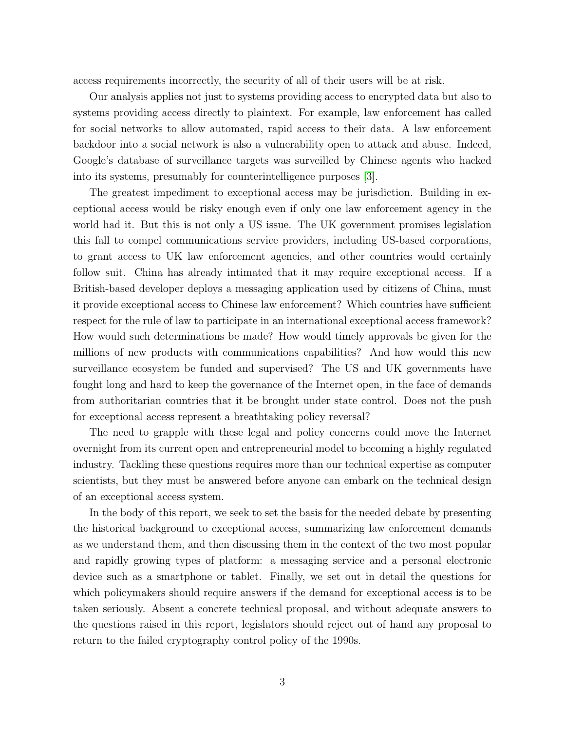access requirements incorrectly, the security of all of their users will be at risk.

Our analysis applies not just to systems providing access to encrypted data but also to systems providing access directly to plaintext. For example, law enforcement has called for social networks to allow automated, rapid access to their data. A law enforcement backdoor into a social network is also a vulnerability open to attack and abuse. Indeed, Google's database of surveillance targets was surveilled by Chinese agents who hacked into its systems, presumably for counterintelligence purposes [\[3\]](#page-25-2).

The greatest impediment to exceptional access may be jurisdiction. Building in exceptional access would be risky enough even if only one law enforcement agency in the world had it. But this is not only a US issue. The UK government promises legislation this fall to compel communications service providers, including US-based corporations, to grant access to UK law enforcement agencies, and other countries would certainly follow suit. China has already intimated that it may require exceptional access. If a British-based developer deploys a messaging application used by citizens of China, must it provide exceptional access to Chinese law enforcement? Which countries have sufficient respect for the rule of law to participate in an international exceptional access framework? How would such determinations be made? How would timely approvals be given for the millions of new products with communications capabilities? And how would this new surveillance ecosystem be funded and supervised? The US and UK governments have fought long and hard to keep the governance of the Internet open, in the face of demands from authoritarian countries that it be brought under state control. Does not the push for exceptional access represent a breathtaking policy reversal?

The need to grapple with these legal and policy concerns could move the Internet overnight from its current open and entrepreneurial model to becoming a highly regulated industry. Tackling these questions requires more than our technical expertise as computer scientists, but they must be answered before anyone can embark on the technical design of an exceptional access system.

In the body of this report, we seek to set the basis for the needed debate by presenting the historical background to exceptional access, summarizing law enforcement demands as we understand them, and then discussing them in the context of the two most popular and rapidly growing types of platform: a messaging service and a personal electronic device such as a smartphone or tablet. Finally, we set out in detail the questions for which policymakers should require answers if the demand for exceptional access is to be taken seriously. Absent a concrete technical proposal, and without adequate answers to the questions raised in this report, legislators should reject out of hand any proposal to return to the failed cryptography control policy of the 1990s.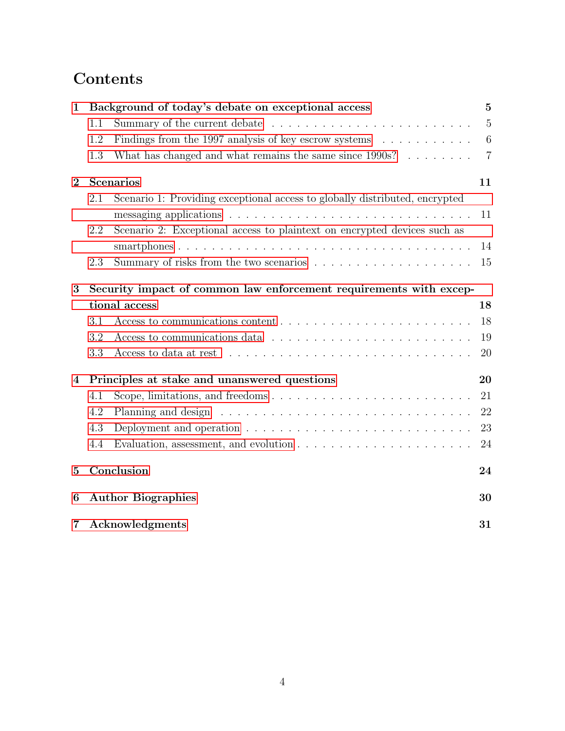## Contents

| $\mathbf{1}$   | Background of today's debate on exceptional access                 |                                                                                          | $\overline{5}$  |
|----------------|--------------------------------------------------------------------|------------------------------------------------------------------------------------------|-----------------|
|                | 1.1                                                                |                                                                                          | $\overline{5}$  |
|                | 1.2                                                                | Findings from the 1997 analysis of key escrow systems                                    | $6\phantom{.}6$ |
|                | 1.3                                                                | What has changed and what remains the same since $1990s$ ?                               | $\overline{7}$  |
| $\overline{2}$ | <b>Scenarios</b>                                                   |                                                                                          | 11              |
|                | 2.1                                                                | Scenario 1: Providing exceptional access to globally distributed, encrypted              |                 |
|                |                                                                    |                                                                                          | 11              |
|                | 2.2                                                                | Scenario 2: Exceptional access to plaintext on encrypted devices such as                 |                 |
|                |                                                                    |                                                                                          | 14              |
|                | 2.3                                                                |                                                                                          | 15              |
| 3              | Security impact of common law enforcement requirements with excep- |                                                                                          |                 |
|                | tional access                                                      |                                                                                          | 18              |
|                | 3.1                                                                |                                                                                          | 18              |
|                | 3.2                                                                |                                                                                          | 19              |
|                | 3.3                                                                |                                                                                          | 20              |
| $\overline{4}$ | Principles at stake and unanswered questions                       |                                                                                          | 20              |
|                | 4.1                                                                |                                                                                          | 21              |
|                | 4.2                                                                |                                                                                          | 22              |
|                | 4.3                                                                |                                                                                          | 23              |
|                | 4.4                                                                | Evaluation, assessment, and evolution $\ldots \ldots \ldots \ldots \ldots \ldots \ldots$ | 24              |
| $\mathbf{5}$   | Conclusion                                                         |                                                                                          | 24              |
| 6              | <b>Author Biographies</b>                                          |                                                                                          | 30              |
| $7\,$          |                                                                    | Acknowledgments                                                                          | 31              |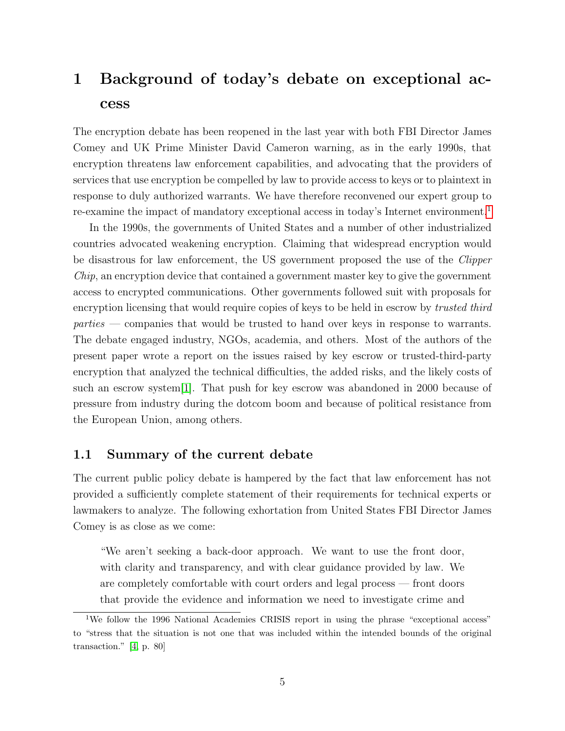## <span id="page-5-0"></span>1 Background of today's debate on exceptional access

The encryption debate has been reopened in the last year with both FBI Director James Comey and UK Prime Minister David Cameron warning, as in the early 1990s, that encryption threatens law enforcement capabilities, and advocating that the providers of services that use encryption be compelled by law to provide access to keys or to plaintext in response to duly authorized warrants. We have therefore reconvened our expert group to re-examine the impact of mandatory exceptional access in today's Internet environment.<sup>[1](#page-5-2)</sup>

In the 1990s, the governments of United States and a number of other industrialized countries advocated weakening encryption. Claiming that widespread encryption would be disastrous for law enforcement, the US government proposed the use of the Clipper Chip, an encryption device that contained a government master key to give the government access to encrypted communications. Other governments followed suit with proposals for encryption licensing that would require copies of keys to be held in escrow by *trusted third* parties — companies that would be trusted to hand over keys in response to warrants. The debate engaged industry, NGOs, academia, and others. Most of the authors of the present paper wrote a report on the issues raised by key escrow or trusted-third-party encryption that analyzed the technical difficulties, the added risks, and the likely costs of such an escrow system[\[1\]](#page-25-0). That push for key escrow was abandoned in 2000 because of pressure from industry during the dotcom boom and because of political resistance from the European Union, among others.

#### <span id="page-5-1"></span>1.1 Summary of the current debate

The current public policy debate is hampered by the fact that law enforcement has not provided a sufficiently complete statement of their requirements for technical experts or lawmakers to analyze. The following exhortation from United States FBI Director James Comey is as close as we come:

"We aren't seeking a back-door approach. We want to use the front door, with clarity and transparency, and with clear guidance provided by law. We are completely comfortable with court orders and legal process — front doors that provide the evidence and information we need to investigate crime and

<span id="page-5-2"></span><sup>&</sup>lt;sup>1</sup>We follow the 1996 National Academies CRISIS report in using the phrase "exceptional access" to "stress that the situation is not one that was included within the intended bounds of the original transaction." [\[4,](#page-25-3) p. 80]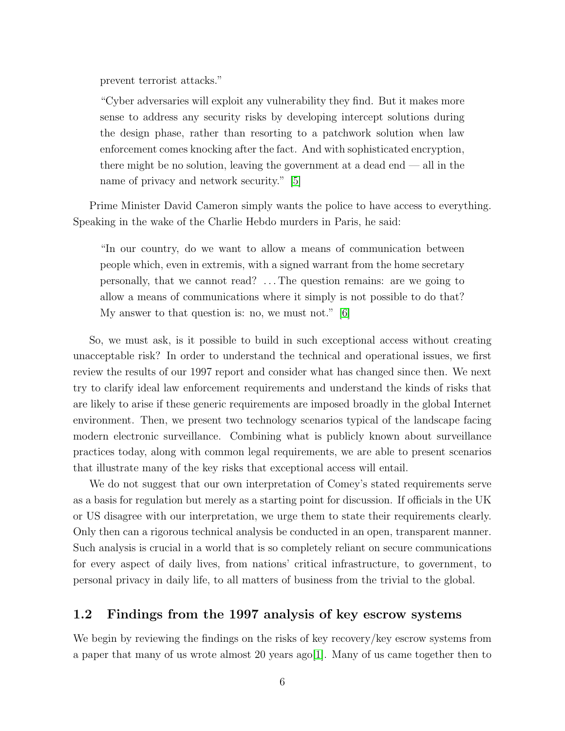prevent terrorist attacks."

"Cyber adversaries will exploit any vulnerability they find. But it makes more sense to address any security risks by developing intercept solutions during the design phase, rather than resorting to a patchwork solution when law enforcement comes knocking after the fact. And with sophisticated encryption, there might be no solution, leaving the government at a dead end  $-$  all in the name of privacy and network security." [\[5\]](#page-25-4)

Prime Minister David Cameron simply wants the police to have access to everything. Speaking in the wake of the Charlie Hebdo murders in Paris, he said:

"In our country, do we want to allow a means of communication between people which, even in extremis, with a signed warrant from the home secretary personally, that we cannot read? . . . The question remains: are we going to allow a means of communications where it simply is not possible to do that? My answer to that question is: no, we must not." [\[6\]](#page-26-0)

So, we must ask, is it possible to build in such exceptional access without creating unacceptable risk? In order to understand the technical and operational issues, we first review the results of our 1997 report and consider what has changed since then. We next try to clarify ideal law enforcement requirements and understand the kinds of risks that are likely to arise if these generic requirements are imposed broadly in the global Internet environment. Then, we present two technology scenarios typical of the landscape facing modern electronic surveillance. Combining what is publicly known about surveillance practices today, along with common legal requirements, we are able to present scenarios that illustrate many of the key risks that exceptional access will entail.

We do not suggest that our own interpretation of Comey's stated requirements serve as a basis for regulation but merely as a starting point for discussion. If officials in the UK or US disagree with our interpretation, we urge them to state their requirements clearly. Only then can a rigorous technical analysis be conducted in an open, transparent manner. Such analysis is crucial in a world that is so completely reliant on secure communications for every aspect of daily lives, from nations' critical infrastructure, to government, to personal privacy in daily life, to all matters of business from the trivial to the global.

#### <span id="page-6-0"></span>1.2 Findings from the 1997 analysis of key escrow systems

We begin by reviewing the findings on the risks of key recovery/key escrow systems from a paper that many of us wrote almost 20 years ago[\[1\]](#page-25-0). Many of us came together then to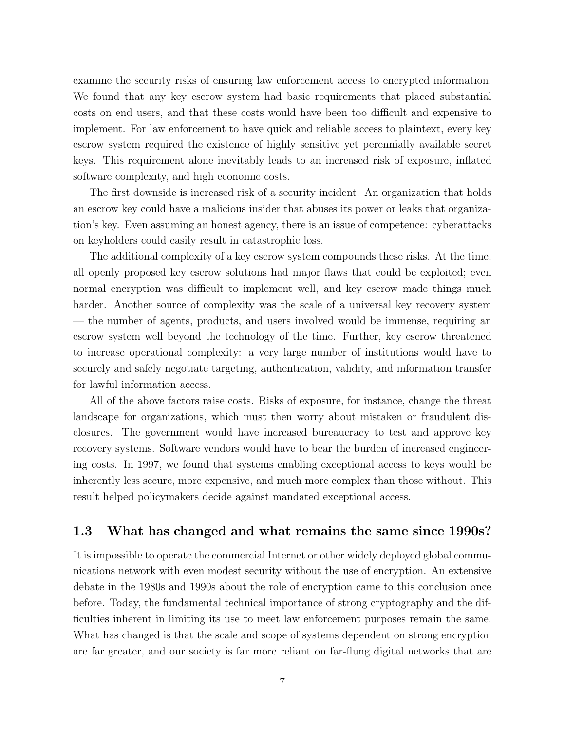examine the security risks of ensuring law enforcement access to encrypted information. We found that any key escrow system had basic requirements that placed substantial costs on end users, and that these costs would have been too difficult and expensive to implement. For law enforcement to have quick and reliable access to plaintext, every key escrow system required the existence of highly sensitive yet perennially available secret keys. This requirement alone inevitably leads to an increased risk of exposure, inflated software complexity, and high economic costs.

The first downside is increased risk of a security incident. An organization that holds an escrow key could have a malicious insider that abuses its power or leaks that organization's key. Even assuming an honest agency, there is an issue of competence: cyberattacks on keyholders could easily result in catastrophic loss.

The additional complexity of a key escrow system compounds these risks. At the time, all openly proposed key escrow solutions had major flaws that could be exploited; even normal encryption was difficult to implement well, and key escrow made things much harder. Another source of complexity was the scale of a universal key recovery system — the number of agents, products, and users involved would be immense, requiring an escrow system well beyond the technology of the time. Further, key escrow threatened to increase operational complexity: a very large number of institutions would have to securely and safely negotiate targeting, authentication, validity, and information transfer for lawful information access.

All of the above factors raise costs. Risks of exposure, for instance, change the threat landscape for organizations, which must then worry about mistaken or fraudulent disclosures. The government would have increased bureaucracy to test and approve key recovery systems. Software vendors would have to bear the burden of increased engineering costs. In 1997, we found that systems enabling exceptional access to keys would be inherently less secure, more expensive, and much more complex than those without. This result helped policymakers decide against mandated exceptional access.

#### <span id="page-7-0"></span>1.3 What has changed and what remains the same since 1990s?

It is impossible to operate the commercial Internet or other widely deployed global communications network with even modest security without the use of encryption. An extensive debate in the 1980s and 1990s about the role of encryption came to this conclusion once before. Today, the fundamental technical importance of strong cryptography and the difficulties inherent in limiting its use to meet law enforcement purposes remain the same. What has changed is that the scale and scope of systems dependent on strong encryption are far greater, and our society is far more reliant on far-flung digital networks that are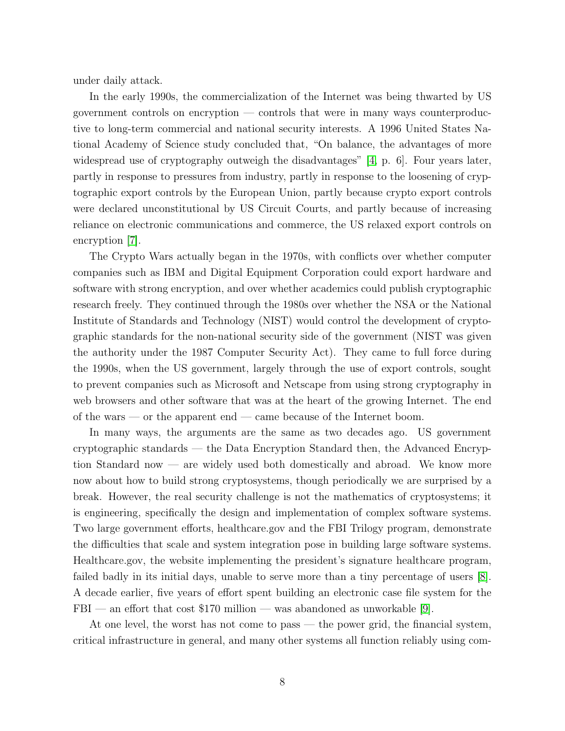under daily attack.

In the early 1990s, the commercialization of the Internet was being thwarted by US government controls on encryption — controls that were in many ways counterproductive to long-term commercial and national security interests. A 1996 United States National Academy of Science study concluded that, "On balance, the advantages of more widespread use of cryptography outweigh the disadvantages" [\[4,](#page-25-3) p. 6]. Four years later, partly in response to pressures from industry, partly in response to the loosening of cryptographic export controls by the European Union, partly because crypto export controls were declared unconstitutional by US Circuit Courts, and partly because of increasing reliance on electronic communications and commerce, the US relaxed export controls on encryption [\[7\]](#page-26-1).

The Crypto Wars actually began in the 1970s, with conflicts over whether computer companies such as IBM and Digital Equipment Corporation could export hardware and software with strong encryption, and over whether academics could publish cryptographic research freely. They continued through the 1980s over whether the NSA or the National Institute of Standards and Technology (NIST) would control the development of cryptographic standards for the non-national security side of the government (NIST was given the authority under the 1987 Computer Security Act). They came to full force during the 1990s, when the US government, largely through the use of export controls, sought to prevent companies such as Microsoft and Netscape from using strong cryptography in web browsers and other software that was at the heart of the growing Internet. The end of the wars — or the apparent end — came because of the Internet boom.

In many ways, the arguments are the same as two decades ago. US government cryptographic standards — the Data Encryption Standard then, the Advanced Encryption Standard now — are widely used both domestically and abroad. We know more now about how to build strong cryptosystems, though periodically we are surprised by a break. However, the real security challenge is not the mathematics of cryptosystems; it is engineering, specifically the design and implementation of complex software systems. Two large government efforts, healthcare.gov and the FBI Trilogy program, demonstrate the difficulties that scale and system integration pose in building large software systems. Healthcare.gov, the website implementing the president's signature healthcare program, failed badly in its initial days, unable to serve more than a tiny percentage of users [\[8\]](#page-26-2). A decade earlier, five years of effort spent building an electronic case file system for the  $FBI$  — an effort that cost \$170 million — was abandoned as unworkable [\[9\]](#page-26-3).

At one level, the worst has not come to pass — the power grid, the financial system, critical infrastructure in general, and many other systems all function reliably using com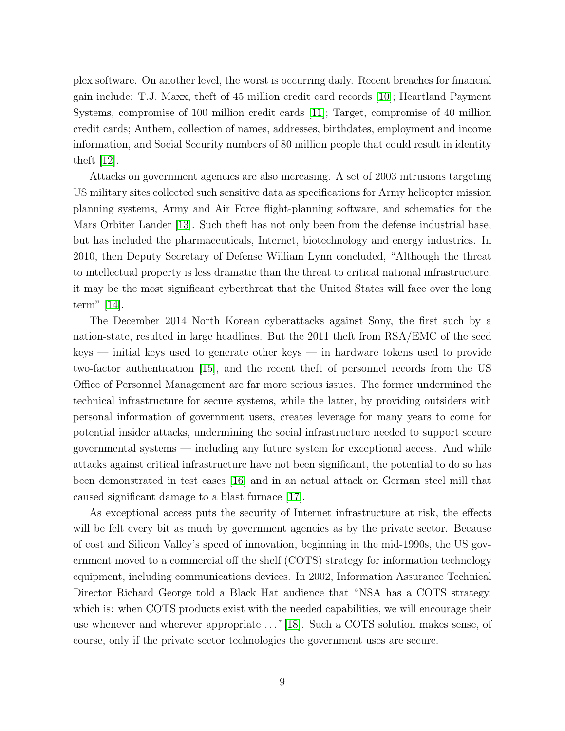plex software. On another level, the worst is occurring daily. Recent breaches for financial gain include: T.J. Maxx, theft of 45 million credit card records [\[10\]](#page-26-4); Heartland Payment Systems, compromise of 100 million credit cards [\[11\]](#page-26-5); Target, compromise of 40 million credit cards; Anthem, collection of names, addresses, birthdates, employment and income information, and Social Security numbers of 80 million people that could result in identity theft  $|12|$ .

Attacks on government agencies are also increasing. A set of 2003 intrusions targeting US military sites collected such sensitive data as specifications for Army helicopter mission planning systems, Army and Air Force flight-planning software, and schematics for the Mars Orbiter Lander [\[13\]](#page-26-7). Such theft has not only been from the defense industrial base, but has included the pharmaceuticals, Internet, biotechnology and energy industries. In 2010, then Deputy Secretary of Defense William Lynn concluded, "Although the threat to intellectual property is less dramatic than the threat to critical national infrastructure, it may be the most significant cyberthreat that the United States will face over the long term" [\[14\]](#page-26-8).

The December 2014 North Korean cyberattacks against Sony, the first such by a nation-state, resulted in large headlines. But the 2011 theft from RSA/EMC of the seed  $keys$  — initial keys used to generate other keys — in hardware tokens used to provide two-factor authentication [\[15\]](#page-26-9), and the recent theft of personnel records from the US Office of Personnel Management are far more serious issues. The former undermined the technical infrastructure for secure systems, while the latter, by providing outsiders with personal information of government users, creates leverage for many years to come for potential insider attacks, undermining the social infrastructure needed to support secure governmental systems — including any future system for exceptional access. And while attacks against critical infrastructure have not been significant, the potential to do so has been demonstrated in test cases [\[16\]](#page-26-10) and in an actual attack on German steel mill that caused significant damage to a blast furnace [\[17\]](#page-27-0).

As exceptional access puts the security of Internet infrastructure at risk, the effects will be felt every bit as much by government agencies as by the private sector. Because of cost and Silicon Valley's speed of innovation, beginning in the mid-1990s, the US government moved to a commercial off the shelf (COTS) strategy for information technology equipment, including communications devices. In 2002, Information Assurance Technical Director Richard George told a Black Hat audience that "NSA has a COTS strategy, which is: when COTS products exist with the needed capabilities, we will encourage their use whenever and wherever appropriate . . . "[\[18\]](#page-27-1). Such a COTS solution makes sense, of course, only if the private sector technologies the government uses are secure.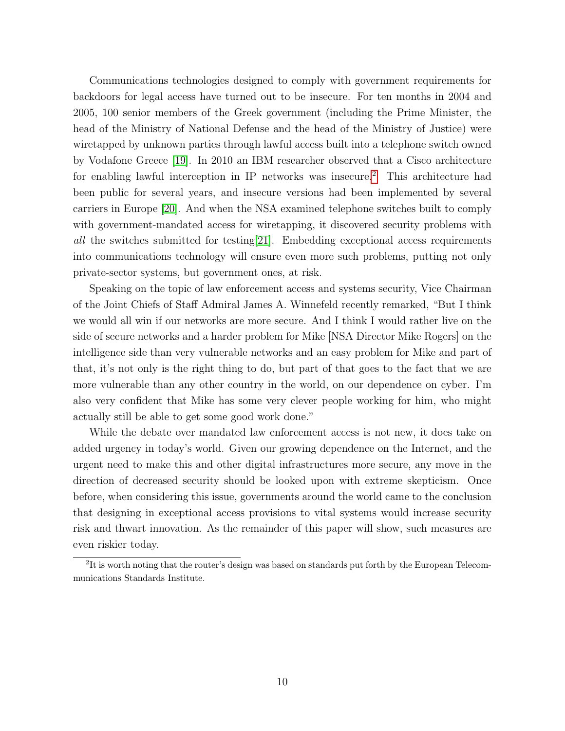Communications technologies designed to comply with government requirements for backdoors for legal access have turned out to be insecure. For ten months in 2004 and 2005, 100 senior members of the Greek government (including the Prime Minister, the head of the Ministry of National Defense and the head of the Ministry of Justice) were wiretapped by unknown parties through lawful access built into a telephone switch owned by Vodafone Greece [\[19\]](#page-27-2). In 2010 an IBM researcher observed that a Cisco architecture for enabling lawful interception in IP networks was insecure.<sup>[2](#page-10-0)</sup> This architecture had been public for several years, and insecure versions had been implemented by several carriers in Europe [\[20\]](#page-27-3). And when the NSA examined telephone switches built to comply with government-mandated access for wiretapping, it discovered security problems with all the switches submitted for testing[\[21\]](#page-27-4). Embedding exceptional access requirements into communications technology will ensure even more such problems, putting not only private-sector systems, but government ones, at risk.

Speaking on the topic of law enforcement access and systems security, Vice Chairman of the Joint Chiefs of Staff Admiral James A. Winnefeld recently remarked, "But I think we would all win if our networks are more secure. And I think I would rather live on the side of secure networks and a harder problem for Mike [NSA Director Mike Rogers] on the intelligence side than very vulnerable networks and an easy problem for Mike and part of that, it's not only is the right thing to do, but part of that goes to the fact that we are more vulnerable than any other country in the world, on our dependence on cyber. I'm also very confident that Mike has some very clever people working for him, who might actually still be able to get some good work done."

While the debate over mandated law enforcement access is not new, it does take on added urgency in today's world. Given our growing dependence on the Internet, and the urgent need to make this and other digital infrastructures more secure, any move in the direction of decreased security should be looked upon with extreme skepticism. Once before, when considering this issue, governments around the world came to the conclusion that designing in exceptional access provisions to vital systems would increase security risk and thwart innovation. As the remainder of this paper will show, such measures are even riskier today.

<span id="page-10-0"></span><sup>&</sup>lt;sup>2</sup>It is worth noting that the router's design was based on standards put forth by the European Telecommunications Standards Institute.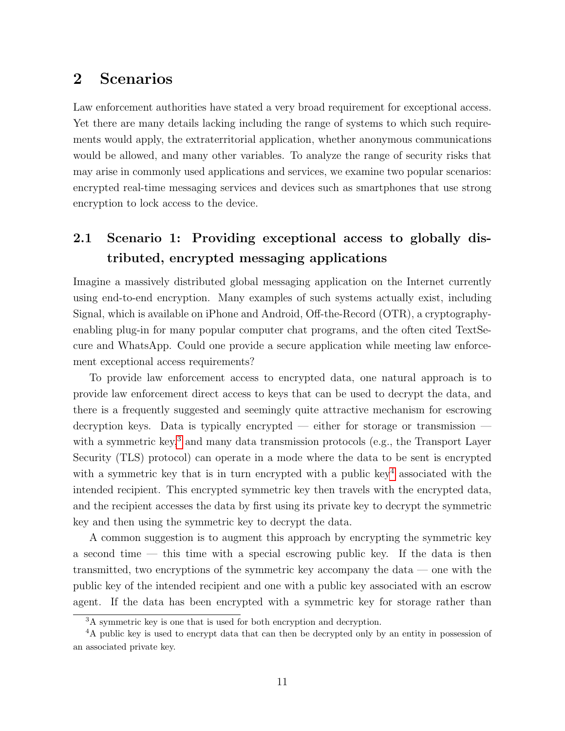## <span id="page-11-0"></span>2 Scenarios

Law enforcement authorities have stated a very broad requirement for exceptional access. Yet there are many details lacking including the range of systems to which such requirements would apply, the extraterritorial application, whether anonymous communications would be allowed, and many other variables. To analyze the range of security risks that may arise in commonly used applications and services, we examine two popular scenarios: encrypted real-time messaging services and devices such as smartphones that use strong encryption to lock access to the device.

## <span id="page-11-1"></span>2.1 Scenario 1: Providing exceptional access to globally distributed, encrypted messaging applications

Imagine a massively distributed global messaging application on the Internet currently using end-to-end encryption. Many examples of such systems actually exist, including Signal, which is available on iPhone and Android, Off-the-Record (OTR), a cryptographyenabling plug-in for many popular computer chat programs, and the often cited TextSecure and WhatsApp. Could one provide a secure application while meeting law enforcement exceptional access requirements?

To provide law enforcement access to encrypted data, one natural approach is to provide law enforcement direct access to keys that can be used to decrypt the data, and there is a frequently suggested and seemingly quite attractive mechanism for escrowing decryption keys. Data is typically encrypted — either for storage or transmission — with a symmetric key,<sup>[3](#page-11-2)</sup> and many data transmission protocols (e.g., the Transport Layer Security (TLS) protocol) can operate in a mode where the data to be sent is encrypted with a symmetric key that is in turn encrypted with a public key<sup>[4](#page-11-3)</sup> associated with the intended recipient. This encrypted symmetric key then travels with the encrypted data, and the recipient accesses the data by first using its private key to decrypt the symmetric key and then using the symmetric key to decrypt the data.

A common suggestion is to augment this approach by encrypting the symmetric key a second time — this time with a special escrowing public key. If the data is then transmitted, two encryptions of the symmetric key accompany the data — one with the public key of the intended recipient and one with a public key associated with an escrow agent. If the data has been encrypted with a symmetric key for storage rather than

<span id="page-11-3"></span><span id="page-11-2"></span><sup>3</sup>A symmetric key is one that is used for both encryption and decryption.

<sup>&</sup>lt;sup>4</sup>A public key is used to encrypt data that can then be decrypted only by an entity in possession of an associated private key.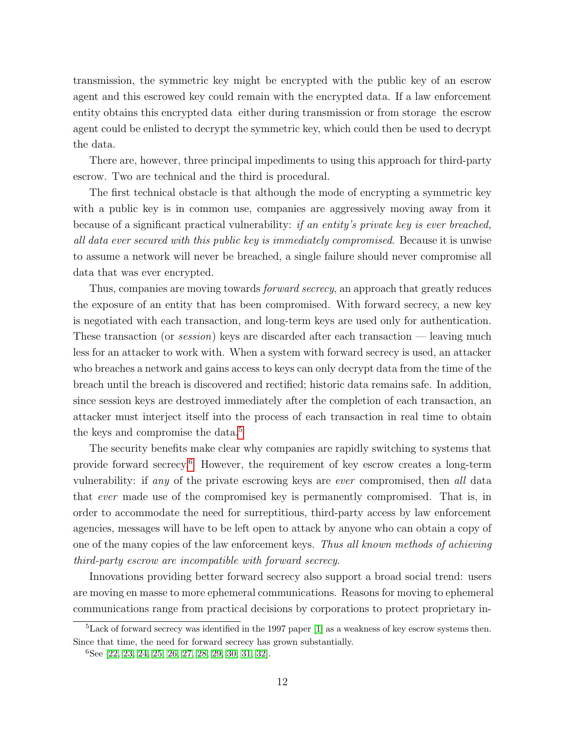transmission, the symmetric key might be encrypted with the public key of an escrow agent and this escrowed key could remain with the encrypted data. If a law enforcement entity obtains this encrypted data either during transmission or from storage the escrow agent could be enlisted to decrypt the symmetric key, which could then be used to decrypt the data.

There are, however, three principal impediments to using this approach for third-party escrow. Two are technical and the third is procedural.

The first technical obstacle is that although the mode of encrypting a symmetric key with a public key is in common use, companies are aggressively moving away from it because of a significant practical vulnerability: if an entity's private key is ever breached, all data ever secured with this public key is immediately compromised. Because it is unwise to assume a network will never be breached, a single failure should never compromise all data that was ever encrypted.

Thus, companies are moving towards forward secrecy, an approach that greatly reduces the exposure of an entity that has been compromised. With forward secrecy, a new key is negotiated with each transaction, and long-term keys are used only for authentication. These transaction (or *session*) keys are discarded after each transaction — leaving much less for an attacker to work with. When a system with forward secrecy is used, an attacker who breaches a network and gains access to keys can only decrypt data from the time of the breach until the breach is discovered and rectified; historic data remains safe. In addition, since session keys are destroyed immediately after the completion of each transaction, an attacker must interject itself into the process of each transaction in real time to obtain the keys and compromise the data.<sup>[5](#page-12-0)</sup>

The security benefits make clear why companies are rapidly switching to systems that provide forward secrecy.[6](#page-12-1) However, the requirement of key escrow creates a long-term vulnerability: if any of the private escrowing keys are *ever* compromised, then all data that ever made use of the compromised key is permanently compromised. That is, in order to accommodate the need for surreptitious, third-party access by law enforcement agencies, messages will have to be left open to attack by anyone who can obtain a copy of one of the many copies of the law enforcement keys. Thus all known methods of achieving third-party escrow are incompatible with forward secrecy.

Innovations providing better forward secrecy also support a broad social trend: users are moving en masse to more ephemeral communications. Reasons for moving to ephemeral communications range from practical decisions by corporations to protect proprietary in-

<span id="page-12-0"></span><sup>5</sup>Lack of forward secrecy was identified in the 1997 paper [\[1\]](#page-25-0) as a weakness of key escrow systems then. Since that time, the need for forward secrecy has grown substantially.

<span id="page-12-1"></span><sup>6</sup>See [\[22,](#page-27-5) [23,](#page-27-6) [24,](#page-27-7) [25,](#page-27-8) [26,](#page-27-9) [27,](#page-27-10) [28,](#page-28-0) [29,](#page-28-1) [30,](#page-28-2) [31,](#page-28-3) [32\]](#page-28-4).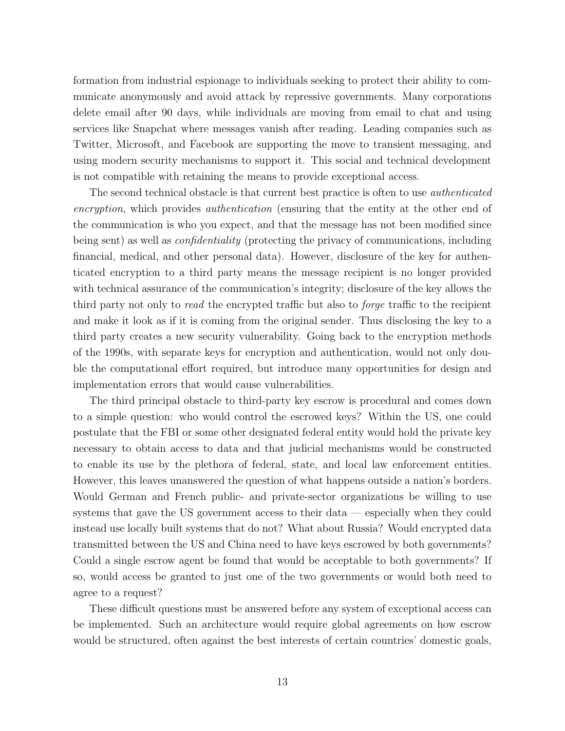formation from industrial espionage to individuals seeking to protect their ability to communicate anonymously and avoid attack by repressive governments. Many corporations delete email after 90 days, while individuals are moving from email to chat and using services like Snapchat where messages vanish after reading. Leading companies such as Twitter, Microsoft, and Facebook are supporting the move to transient messaging, and using modern security mechanisms to support it. This social and technical development is not compatible with retaining the means to provide exceptional access.

The second technical obstacle is that current best practice is often to use authenticated encryption, which provides *authentication* (ensuring that the entity at the other end of the communication is who you expect, and that the message has not been modified since being sent) as well as *confidentiality* (protecting the privacy of communications, including financial, medical, and other personal data). However, disclosure of the key for authenticated encryption to a third party means the message recipient is no longer provided with technical assurance of the communication's integrity; disclosure of the key allows the third party not only to read the encrypted traffic but also to forge traffic to the recipient and make it look as if it is coming from the original sender. Thus disclosing the key to a third party creates a new security vulnerability. Going back to the encryption methods of the 1990s, with separate keys for encryption and authentication, would not only double the computational effort required, but introduce many opportunities for design and implementation errors that would cause vulnerabilities.

The third principal obstacle to third-party key escrow is procedural and comes down to a simple question: who would control the escrowed keys? Within the US, one could postulate that the FBI or some other designated federal entity would hold the private key necessary to obtain access to data and that judicial mechanisms would be constructed to enable its use by the plethora of federal, state, and local law enforcement entities. However, this leaves unanswered the question of what happens outside a nation's borders. Would German and French public- and private-sector organizations be willing to use systems that gave the US government access to their data — especially when they could instead use locally built systems that do not? What about Russia? Would encrypted data transmitted between the US and China need to have keys escrowed by both governments? Could a single escrow agent be found that would be acceptable to both governments? If so, would access be granted to just one of the two governments or would both need to agree to a request?

These difficult questions must be answered before any system of exceptional access can be implemented. Such an architecture would require global agreements on how escrow would be structured, often against the best interests of certain countries' domestic goals,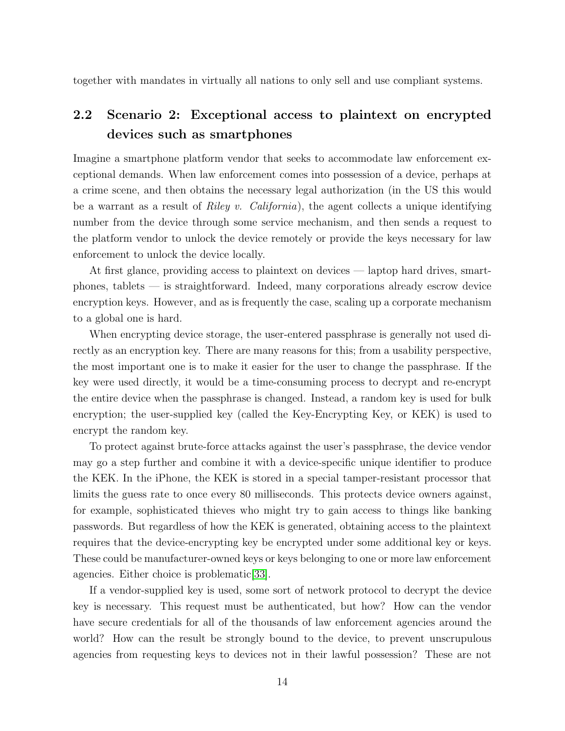together with mandates in virtually all nations to only sell and use compliant systems.

## <span id="page-14-0"></span>2.2 Scenario 2: Exceptional access to plaintext on encrypted devices such as smartphones

Imagine a smartphone platform vendor that seeks to accommodate law enforcement exceptional demands. When law enforcement comes into possession of a device, perhaps at a crime scene, and then obtains the necessary legal authorization (in the US this would be a warrant as a result of *Riley v. California*), the agent collects a unique identifying number from the device through some service mechanism, and then sends a request to the platform vendor to unlock the device remotely or provide the keys necessary for law enforcement to unlock the device locally.

At first glance, providing access to plaintext on devices — laptop hard drives, smartphones, tablets — is straightforward. Indeed, many corporations already escrow device encryption keys. However, and as is frequently the case, scaling up a corporate mechanism to a global one is hard.

When encrypting device storage, the user-entered passphrase is generally not used directly as an encryption key. There are many reasons for this; from a usability perspective, the most important one is to make it easier for the user to change the passphrase. If the key were used directly, it would be a time-consuming process to decrypt and re-encrypt the entire device when the passphrase is changed. Instead, a random key is used for bulk encryption; the user-supplied key (called the Key-Encrypting Key, or KEK) is used to encrypt the random key.

To protect against brute-force attacks against the user's passphrase, the device vendor may go a step further and combine it with a device-specific unique identifier to produce the KEK. In the iPhone, the KEK is stored in a special tamper-resistant processor that limits the guess rate to once every 80 milliseconds. This protects device owners against, for example, sophisticated thieves who might try to gain access to things like banking passwords. But regardless of how the KEK is generated, obtaining access to the plaintext requires that the device-encrypting key be encrypted under some additional key or keys. These could be manufacturer-owned keys or keys belonging to one or more law enforcement agencies. Either choice is problematic[\[33\]](#page-28-5).

If a vendor-supplied key is used, some sort of network protocol to decrypt the device key is necessary. This request must be authenticated, but how? How can the vendor have secure credentials for all of the thousands of law enforcement agencies around the world? How can the result be strongly bound to the device, to prevent unscrupulous agencies from requesting keys to devices not in their lawful possession? These are not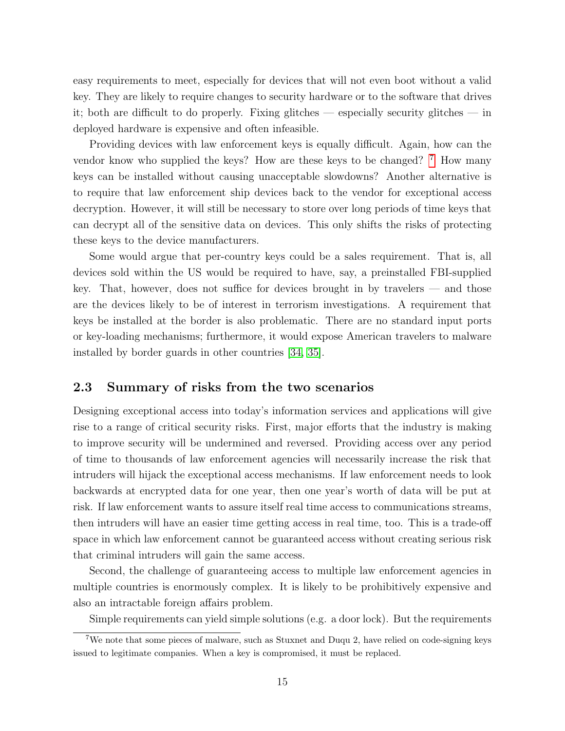easy requirements to meet, especially for devices that will not even boot without a valid key. They are likely to require changes to security hardware or to the software that drives it; both are difficult to do properly. Fixing glitches — especially security glitches — in deployed hardware is expensive and often infeasible.

Providing devices with law enforcement keys is equally difficult. Again, how can the vendor know who supplied the keys? How are these keys to be changed? <sup>[7](#page-15-1)</sup> How many keys can be installed without causing unacceptable slowdowns? Another alternative is to require that law enforcement ship devices back to the vendor for exceptional access decryption. However, it will still be necessary to store over long periods of time keys that can decrypt all of the sensitive data on devices. This only shifts the risks of protecting these keys to the device manufacturers.

Some would argue that per-country keys could be a sales requirement. That is, all devices sold within the US would be required to have, say, a preinstalled FBI-supplied key. That, however, does not suffice for devices brought in by travelers — and those are the devices likely to be of interest in terrorism investigations. A requirement that keys be installed at the border is also problematic. There are no standard input ports or key-loading mechanisms; furthermore, it would expose American travelers to malware installed by border guards in other countries [\[34,](#page-28-6) [35\]](#page-28-7).

#### <span id="page-15-0"></span>2.3 Summary of risks from the two scenarios

Designing exceptional access into today's information services and applications will give rise to a range of critical security risks. First, major efforts that the industry is making to improve security will be undermined and reversed. Providing access over any period of time to thousands of law enforcement agencies will necessarily increase the risk that intruders will hijack the exceptional access mechanisms. If law enforcement needs to look backwards at encrypted data for one year, then one year's worth of data will be put at risk. If law enforcement wants to assure itself real time access to communications streams, then intruders will have an easier time getting access in real time, too. This is a trade-off space in which law enforcement cannot be guaranteed access without creating serious risk that criminal intruders will gain the same access.

Second, the challenge of guaranteeing access to multiple law enforcement agencies in multiple countries is enormously complex. It is likely to be prohibitively expensive and also an intractable foreign affairs problem.

<span id="page-15-1"></span>Simple requirements can yield simple solutions (e.g. a door lock). But the requirements

<sup>7</sup>We note that some pieces of malware, such as Stuxnet and Duqu 2, have relied on code-signing keys issued to legitimate companies. When a key is compromised, it must be replaced.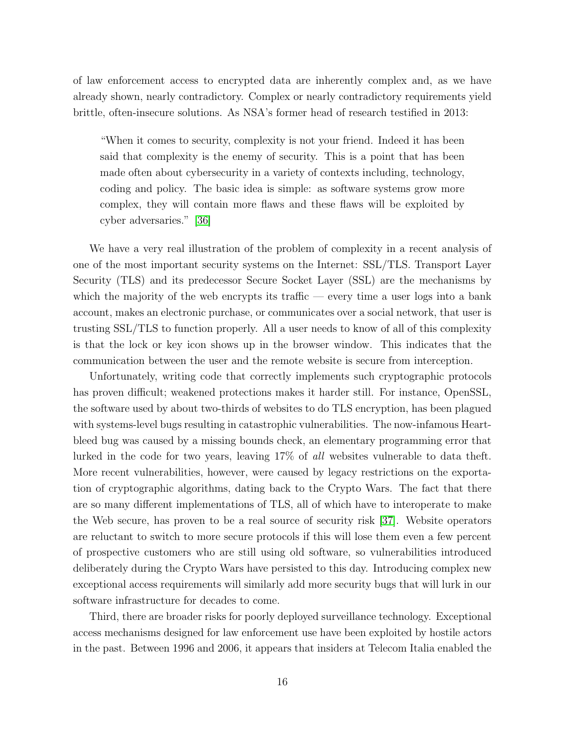of law enforcement access to encrypted data are inherently complex and, as we have already shown, nearly contradictory. Complex or nearly contradictory requirements yield brittle, often-insecure solutions. As NSA's former head of research testified in 2013:

"When it comes to security, complexity is not your friend. Indeed it has been said that complexity is the enemy of security. This is a point that has been made often about cybersecurity in a variety of contexts including, technology, coding and policy. The basic idea is simple: as software systems grow more complex, they will contain more flaws and these flaws will be exploited by cyber adversaries." [\[36\]](#page-28-8)

We have a very real illustration of the problem of complexity in a recent analysis of one of the most important security systems on the Internet: SSL/TLS. Transport Layer Security (TLS) and its predecessor Secure Socket Layer (SSL) are the mechanisms by which the majority of the web encrypts its traffic — every time a user logs into a bank account, makes an electronic purchase, or communicates over a social network, that user is trusting SSL/TLS to function properly. All a user needs to know of all of this complexity is that the lock or key icon shows up in the browser window. This indicates that the communication between the user and the remote website is secure from interception.

Unfortunately, writing code that correctly implements such cryptographic protocols has proven difficult; weakened protections makes it harder still. For instance, OpenSSL, the software used by about two-thirds of websites to do TLS encryption, has been plagued with systems-level bugs resulting in catastrophic vulnerabilities. The now-infamous Heartbleed bug was caused by a missing bounds check, an elementary programming error that lurked in the code for two years, leaving 17% of all websites vulnerable to data theft. More recent vulnerabilities, however, were caused by legacy restrictions on the exportation of cryptographic algorithms, dating back to the Crypto Wars. The fact that there are so many different implementations of TLS, all of which have to interoperate to make the Web secure, has proven to be a real source of security risk [\[37\]](#page-28-9). Website operators are reluctant to switch to more secure protocols if this will lose them even a few percent of prospective customers who are still using old software, so vulnerabilities introduced deliberately during the Crypto Wars have persisted to this day. Introducing complex new exceptional access requirements will similarly add more security bugs that will lurk in our software infrastructure for decades to come.

Third, there are broader risks for poorly deployed surveillance technology. Exceptional access mechanisms designed for law enforcement use have been exploited by hostile actors in the past. Between 1996 and 2006, it appears that insiders at Telecom Italia enabled the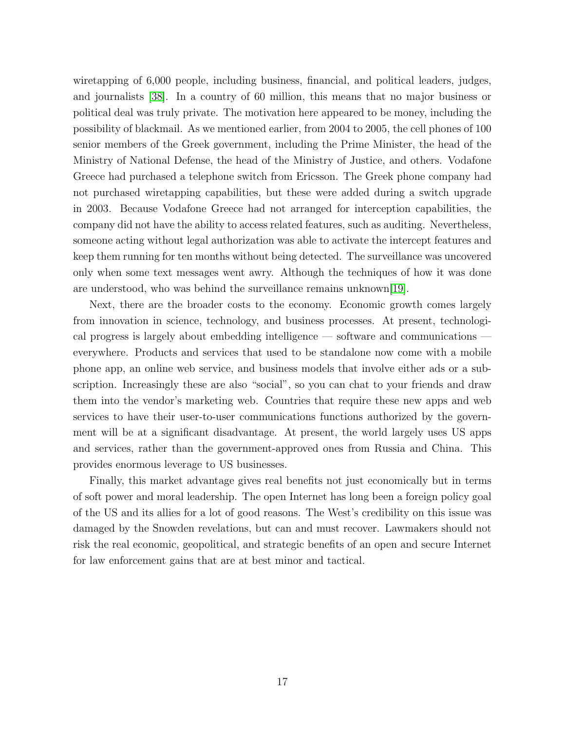wiretapping of 6,000 people, including business, financial, and political leaders, judges, and journalists [\[38\]](#page-29-0). In a country of 60 million, this means that no major business or political deal was truly private. The motivation here appeared to be money, including the possibility of blackmail. As we mentioned earlier, from 2004 to 2005, the cell phones of 100 senior members of the Greek government, including the Prime Minister, the head of the Ministry of National Defense, the head of the Ministry of Justice, and others. Vodafone Greece had purchased a telephone switch from Ericsson. The Greek phone company had not purchased wiretapping capabilities, but these were added during a switch upgrade in 2003. Because Vodafone Greece had not arranged for interception capabilities, the company did not have the ability to access related features, such as auditing. Nevertheless, someone acting without legal authorization was able to activate the intercept features and keep them running for ten months without being detected. The surveillance was uncovered only when some text messages went awry. Although the techniques of how it was done are understood, who was behind the surveillance remains unknown[\[19\]](#page-27-2).

Next, there are the broader costs to the economy. Economic growth comes largely from innovation in science, technology, and business processes. At present, technological progress is largely about embedding intelligence — software and communications everywhere. Products and services that used to be standalone now come with a mobile phone app, an online web service, and business models that involve either ads or a subscription. Increasingly these are also "social", so you can chat to your friends and draw them into the vendor's marketing web. Countries that require these new apps and web services to have their user-to-user communications functions authorized by the government will be at a significant disadvantage. At present, the world largely uses US apps and services, rather than the government-approved ones from Russia and China. This provides enormous leverage to US businesses.

Finally, this market advantage gives real benefits not just economically but in terms of soft power and moral leadership. The open Internet has long been a foreign policy goal of the US and its allies for a lot of good reasons. The West's credibility on this issue was damaged by the Snowden revelations, but can and must recover. Lawmakers should not risk the real economic, geopolitical, and strategic benefits of an open and secure Internet for law enforcement gains that are at best minor and tactical.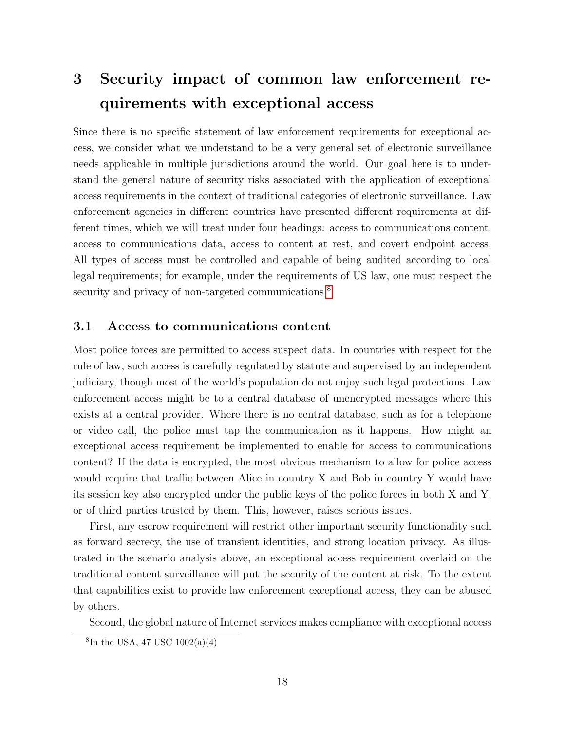## <span id="page-18-0"></span>3 Security impact of common law enforcement requirements with exceptional access

Since there is no specific statement of law enforcement requirements for exceptional access, we consider what we understand to be a very general set of electronic surveillance needs applicable in multiple jurisdictions around the world. Our goal here is to understand the general nature of security risks associated with the application of exceptional access requirements in the context of traditional categories of electronic surveillance. Law enforcement agencies in different countries have presented different requirements at different times, which we will treat under four headings: access to communications content, access to communications data, access to content at rest, and covert endpoint access. All types of access must be controlled and capable of being audited according to local legal requirements; for example, under the requirements of US law, one must respect the security and privacy of non-targeted communications.<sup>[8](#page-18-2)</sup>

#### <span id="page-18-1"></span>3.1 Access to communications content

Most police forces are permitted to access suspect data. In countries with respect for the rule of law, such access is carefully regulated by statute and supervised by an independent judiciary, though most of the world's population do not enjoy such legal protections. Law enforcement access might be to a central database of unencrypted messages where this exists at a central provider. Where there is no central database, such as for a telephone or video call, the police must tap the communication as it happens. How might an exceptional access requirement be implemented to enable for access to communications content? If the data is encrypted, the most obvious mechanism to allow for police access would require that traffic between Alice in country X and Bob in country Y would have its session key also encrypted under the public keys of the police forces in both X and Y, or of third parties trusted by them. This, however, raises serious issues.

First, any escrow requirement will restrict other important security functionality such as forward secrecy, the use of transient identities, and strong location privacy. As illustrated in the scenario analysis above, an exceptional access requirement overlaid on the traditional content surveillance will put the security of the content at risk. To the extent that capabilities exist to provide law enforcement exceptional access, they can be abused by others.

Second, the global nature of Internet services makes compliance with exceptional access

<span id="page-18-2"></span> ${}^{8}$ In the USA, 47 USC 1002(a)(4)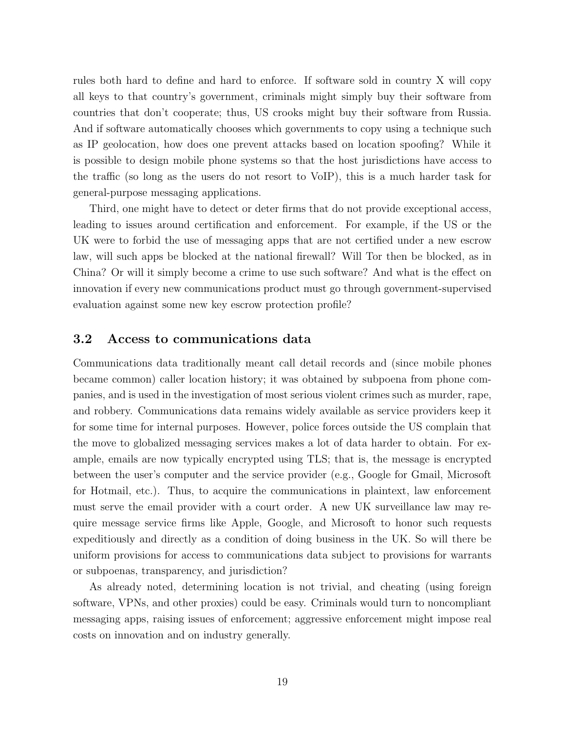rules both hard to define and hard to enforce. If software sold in country X will copy all keys to that country's government, criminals might simply buy their software from countries that don't cooperate; thus, US crooks might buy their software from Russia. And if software automatically chooses which governments to copy using a technique such as IP geolocation, how does one prevent attacks based on location spoofing? While it is possible to design mobile phone systems so that the host jurisdictions have access to the traffic (so long as the users do not resort to VoIP), this is a much harder task for general-purpose messaging applications.

Third, one might have to detect or deter firms that do not provide exceptional access, leading to issues around certification and enforcement. For example, if the US or the UK were to forbid the use of messaging apps that are not certified under a new escrow law, will such apps be blocked at the national firewall? Will Tor then be blocked, as in China? Or will it simply become a crime to use such software? And what is the effect on innovation if every new communications product must go through government-supervised evaluation against some new key escrow protection profile?

#### <span id="page-19-0"></span>3.2 Access to communications data

Communications data traditionally meant call detail records and (since mobile phones became common) caller location history; it was obtained by subpoena from phone companies, and is used in the investigation of most serious violent crimes such as murder, rape, and robbery. Communications data remains widely available as service providers keep it for some time for internal purposes. However, police forces outside the US complain that the move to globalized messaging services makes a lot of data harder to obtain. For example, emails are now typically encrypted using TLS; that is, the message is encrypted between the user's computer and the service provider (e.g., Google for Gmail, Microsoft for Hotmail, etc.). Thus, to acquire the communications in plaintext, law enforcement must serve the email provider with a court order. A new UK surveillance law may require message service firms like Apple, Google, and Microsoft to honor such requests expeditiously and directly as a condition of doing business in the UK. So will there be uniform provisions for access to communications data subject to provisions for warrants or subpoenas, transparency, and jurisdiction?

As already noted, determining location is not trivial, and cheating (using foreign software, VPNs, and other proxies) could be easy. Criminals would turn to noncompliant messaging apps, raising issues of enforcement; aggressive enforcement might impose real costs on innovation and on industry generally.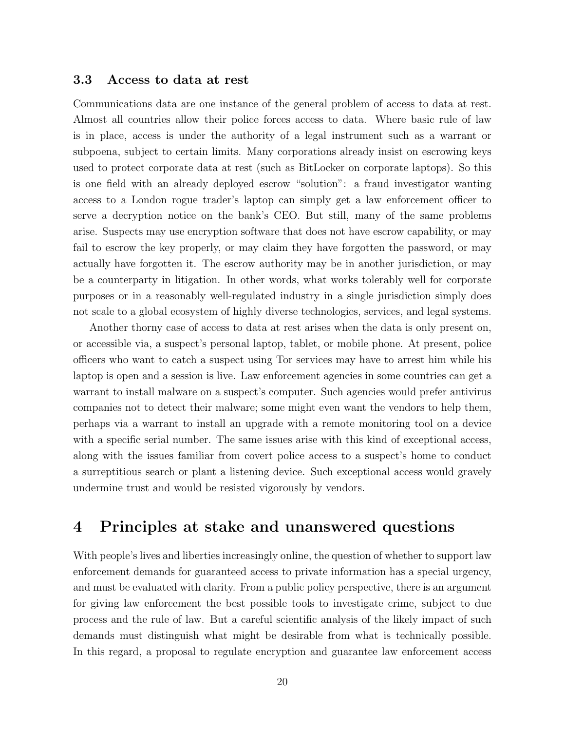#### <span id="page-20-0"></span>3.3 Access to data at rest

Communications data are one instance of the general problem of access to data at rest. Almost all countries allow their police forces access to data. Where basic rule of law is in place, access is under the authority of a legal instrument such as a warrant or subpoena, subject to certain limits. Many corporations already insist on escrowing keys used to protect corporate data at rest (such as BitLocker on corporate laptops). So this is one field with an already deployed escrow "solution": a fraud investigator wanting access to a London rogue trader's laptop can simply get a law enforcement officer to serve a decryption notice on the bank's CEO. But still, many of the same problems arise. Suspects may use encryption software that does not have escrow capability, or may fail to escrow the key properly, or may claim they have forgotten the password, or may actually have forgotten it. The escrow authority may be in another jurisdiction, or may be a counterparty in litigation. In other words, what works tolerably well for corporate purposes or in a reasonably well-regulated industry in a single jurisdiction simply does not scale to a global ecosystem of highly diverse technologies, services, and legal systems.

Another thorny case of access to data at rest arises when the data is only present on, or accessible via, a suspect's personal laptop, tablet, or mobile phone. At present, police officers who want to catch a suspect using Tor services may have to arrest him while his laptop is open and a session is live. Law enforcement agencies in some countries can get a warrant to install malware on a suspect's computer. Such agencies would prefer antivirus companies not to detect their malware; some might even want the vendors to help them, perhaps via a warrant to install an upgrade with a remote monitoring tool on a device with a specific serial number. The same issues arise with this kind of exceptional access, along with the issues familiar from covert police access to a suspect's home to conduct a surreptitious search or plant a listening device. Such exceptional access would gravely undermine trust and would be resisted vigorously by vendors.

### <span id="page-20-1"></span>4 Principles at stake and unanswered questions

With people's lives and liberties increasingly online, the question of whether to support law enforcement demands for guaranteed access to private information has a special urgency, and must be evaluated with clarity. From a public policy perspective, there is an argument for giving law enforcement the best possible tools to investigate crime, subject to due process and the rule of law. But a careful scientific analysis of the likely impact of such demands must distinguish what might be desirable from what is technically possible. In this regard, a proposal to regulate encryption and guarantee law enforcement access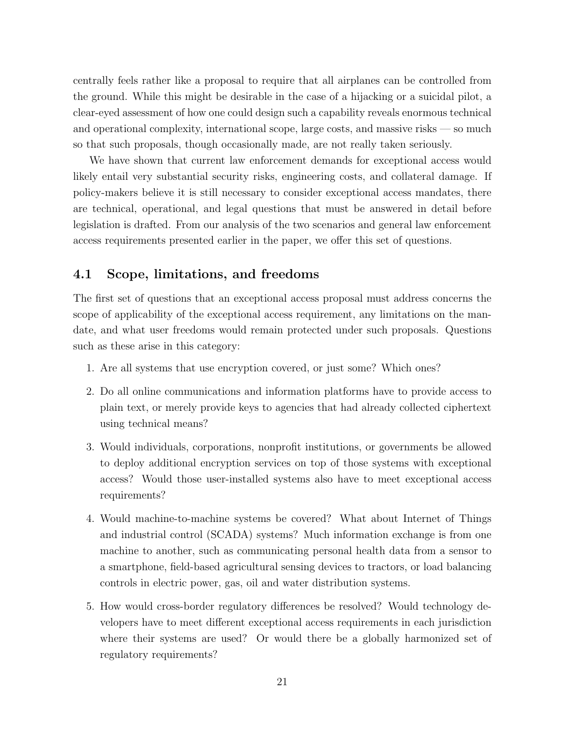centrally feels rather like a proposal to require that all airplanes can be controlled from the ground. While this might be desirable in the case of a hijacking or a suicidal pilot, a clear-eyed assessment of how one could design such a capability reveals enormous technical and operational complexity, international scope, large costs, and massive risks — so much so that such proposals, though occasionally made, are not really taken seriously.

We have shown that current law enforcement demands for exceptional access would likely entail very substantial security risks, engineering costs, and collateral damage. If policy-makers believe it is still necessary to consider exceptional access mandates, there are technical, operational, and legal questions that must be answered in detail before legislation is drafted. From our analysis of the two scenarios and general law enforcement access requirements presented earlier in the paper, we offer this set of questions.

#### <span id="page-21-0"></span>4.1 Scope, limitations, and freedoms

The first set of questions that an exceptional access proposal must address concerns the scope of applicability of the exceptional access requirement, any limitations on the mandate, and what user freedoms would remain protected under such proposals. Questions such as these arise in this category:

- 1. Are all systems that use encryption covered, or just some? Which ones?
- 2. Do all online communications and information platforms have to provide access to plain text, or merely provide keys to agencies that had already collected ciphertext using technical means?
- 3. Would individuals, corporations, nonprofit institutions, or governments be allowed to deploy additional encryption services on top of those systems with exceptional access? Would those user-installed systems also have to meet exceptional access requirements?
- 4. Would machine-to-machine systems be covered? What about Internet of Things and industrial control (SCADA) systems? Much information exchange is from one machine to another, such as communicating personal health data from a sensor to a smartphone, field-based agricultural sensing devices to tractors, or load balancing controls in electric power, gas, oil and water distribution systems.
- 5. How would cross-border regulatory differences be resolved? Would technology developers have to meet different exceptional access requirements in each jurisdiction where their systems are used? Or would there be a globally harmonized set of regulatory requirements?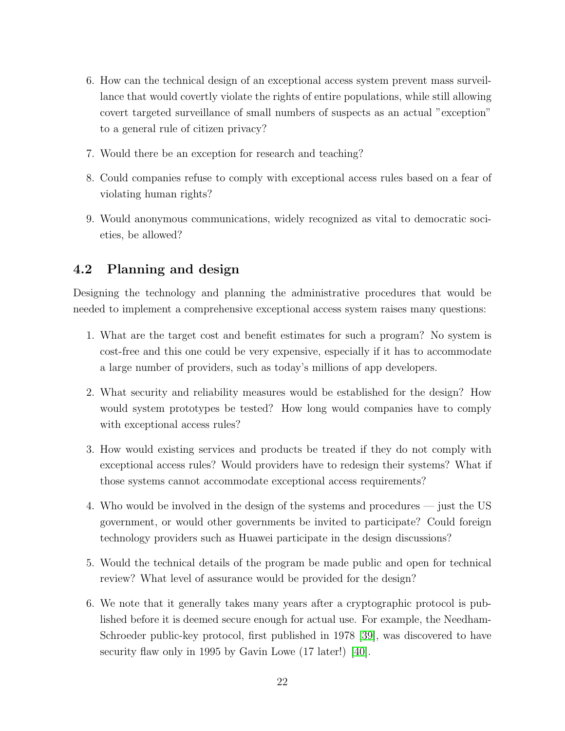- 6. How can the technical design of an exceptional access system prevent mass surveillance that would covertly violate the rights of entire populations, while still allowing covert targeted surveillance of small numbers of suspects as an actual "exception" to a general rule of citizen privacy?
- 7. Would there be an exception for research and teaching?
- 8. Could companies refuse to comply with exceptional access rules based on a fear of violating human rights?
- 9. Would anonymous communications, widely recognized as vital to democratic societies, be allowed?

#### <span id="page-22-0"></span>4.2 Planning and design

Designing the technology and planning the administrative procedures that would be needed to implement a comprehensive exceptional access system raises many questions:

- 1. What are the target cost and benefit estimates for such a program? No system is cost-free and this one could be very expensive, especially if it has to accommodate a large number of providers, such as today's millions of app developers.
- 2. What security and reliability measures would be established for the design? How would system prototypes be tested? How long would companies have to comply with exceptional access rules?
- 3. How would existing services and products be treated if they do not comply with exceptional access rules? Would providers have to redesign their systems? What if those systems cannot accommodate exceptional access requirements?
- 4. Who would be involved in the design of the systems and procedures just the US government, or would other governments be invited to participate? Could foreign technology providers such as Huawei participate in the design discussions?
- 5. Would the technical details of the program be made public and open for technical review? What level of assurance would be provided for the design?
- 6. We note that it generally takes many years after a cryptographic protocol is published before it is deemed secure enough for actual use. For example, the Needham-Schroeder public-key protocol, first published in 1978 [\[39\]](#page-29-1), was discovered to have security flaw only in 1995 by Gavin Lowe (17 later!) [\[40\]](#page-29-2).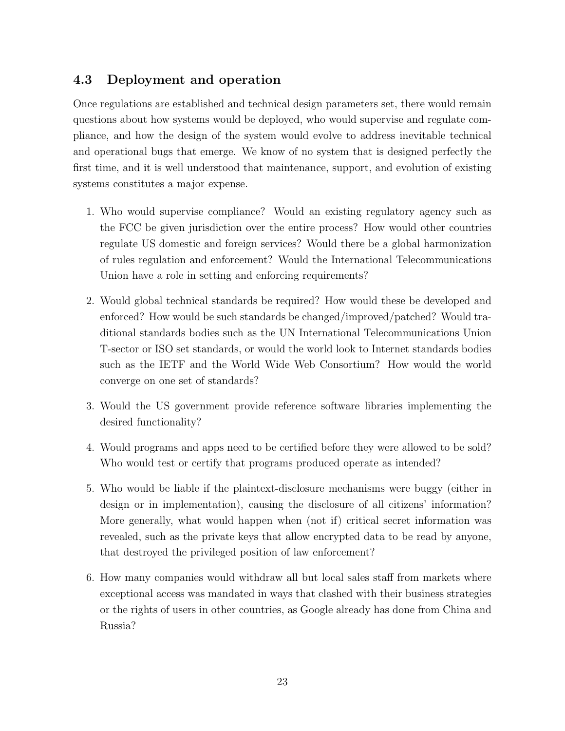### <span id="page-23-0"></span>4.3 Deployment and operation

Once regulations are established and technical design parameters set, there would remain questions about how systems would be deployed, who would supervise and regulate compliance, and how the design of the system would evolve to address inevitable technical and operational bugs that emerge. We know of no system that is designed perfectly the first time, and it is well understood that maintenance, support, and evolution of existing systems constitutes a major expense.

- 1. Who would supervise compliance? Would an existing regulatory agency such as the FCC be given jurisdiction over the entire process? How would other countries regulate US domestic and foreign services? Would there be a global harmonization of rules regulation and enforcement? Would the International Telecommunications Union have a role in setting and enforcing requirements?
- 2. Would global technical standards be required? How would these be developed and enforced? How would be such standards be changed/improved/patched? Would traditional standards bodies such as the UN International Telecommunications Union T-sector or ISO set standards, or would the world look to Internet standards bodies such as the IETF and the World Wide Web Consortium? How would the world converge on one set of standards?
- 3. Would the US government provide reference software libraries implementing the desired functionality?
- 4. Would programs and apps need to be certified before they were allowed to be sold? Who would test or certify that programs produced operate as intended?
- 5. Who would be liable if the plaintext-disclosure mechanisms were buggy (either in design or in implementation), causing the disclosure of all citizens' information? More generally, what would happen when (not if) critical secret information was revealed, such as the private keys that allow encrypted data to be read by anyone, that destroyed the privileged position of law enforcement?
- 6. How many companies would withdraw all but local sales staff from markets where exceptional access was mandated in ways that clashed with their business strategies or the rights of users in other countries, as Google already has done from China and Russia?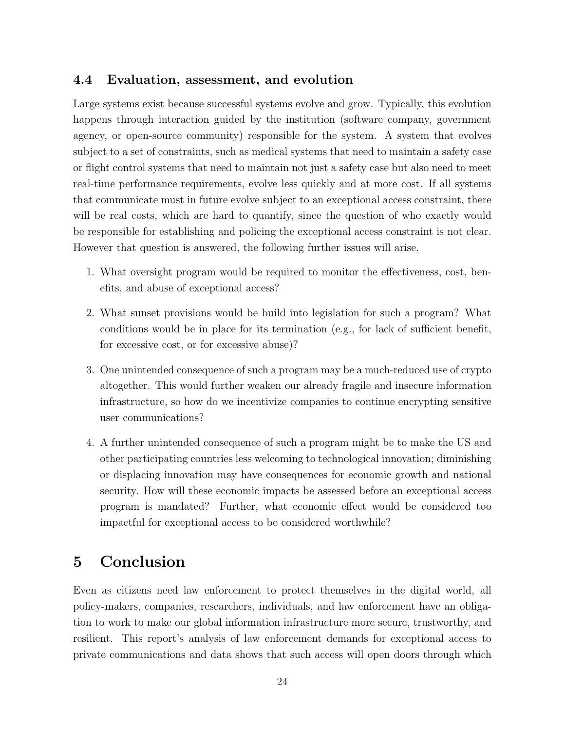#### <span id="page-24-0"></span>4.4 Evaluation, assessment, and evolution

Large systems exist because successful systems evolve and grow. Typically, this evolution happens through interaction guided by the institution (software company, government agency, or open-source community) responsible for the system. A system that evolves subject to a set of constraints, such as medical systems that need to maintain a safety case or flight control systems that need to maintain not just a safety case but also need to meet real-time performance requirements, evolve less quickly and at more cost. If all systems that communicate must in future evolve subject to an exceptional access constraint, there will be real costs, which are hard to quantify, since the question of who exactly would be responsible for establishing and policing the exceptional access constraint is not clear. However that question is answered, the following further issues will arise.

- 1. What oversight program would be required to monitor the effectiveness, cost, benefits, and abuse of exceptional access?
- 2. What sunset provisions would be build into legislation for such a program? What conditions would be in place for its termination (e.g., for lack of sufficient benefit, for excessive cost, or for excessive abuse)?
- 3. One unintended consequence of such a program may be a much-reduced use of crypto altogether. This would further weaken our already fragile and insecure information infrastructure, so how do we incentivize companies to continue encrypting sensitive user communications?
- 4. A further unintended consequence of such a program might be to make the US and other participating countries less welcoming to technological innovation; diminishing or displacing innovation may have consequences for economic growth and national security. How will these economic impacts be assessed before an exceptional access program is mandated? Further, what economic effect would be considered too impactful for exceptional access to be considered worthwhile?

## <span id="page-24-1"></span>5 Conclusion

Even as citizens need law enforcement to protect themselves in the digital world, all policy-makers, companies, researchers, individuals, and law enforcement have an obligation to work to make our global information infrastructure more secure, trustworthy, and resilient. This report's analysis of law enforcement demands for exceptional access to private communications and data shows that such access will open doors through which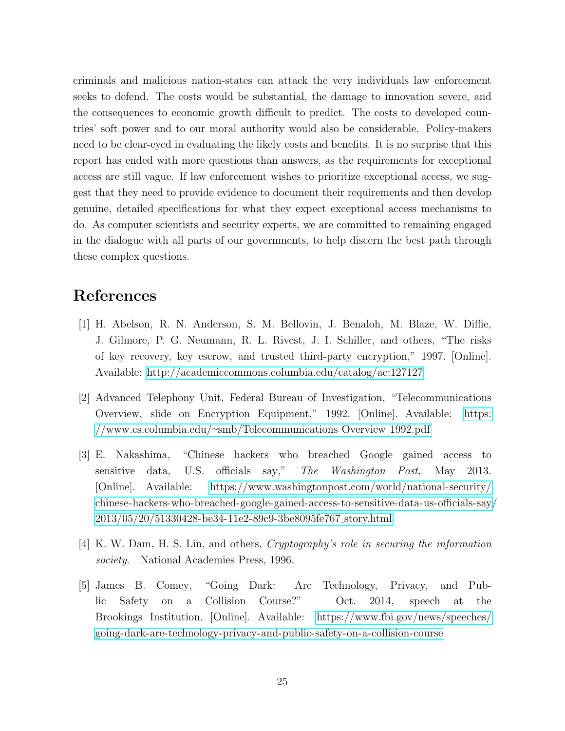criminals and malicious nation-states can attack the very individuals law enforcement seeks to defend. The costs would be substantial, the damage to innovation severe, and the consequences to economic growth difficult to predict. The costs to developed countries' soft power and to our moral authority would also be considerable. Policy-makers need to be clear-eyed in evaluating the likely costs and benefits. It is no surprise that this report has ended with more questions than answers, as the requirements for exceptional access are still vague. If law enforcement wishes to prioritize exceptional access, we suggest that they need to provide evidence to document their requirements and then develop genuine, detailed specifications for what they expect exceptional access mechanisms to do. As computer scientists and security experts, we are committed to remaining engaged in the dialogue with all parts of our governments, to help discern the best path through these complex questions.

### References

- <span id="page-25-0"></span>[1] H. Abelson, R. N. Anderson, S. M. Bellovin, J. Benaloh, M. Blaze, W. Diffie, J. Gilmore, P. G. Neumann, R. L. Rivest, J. I. Schiller, and others, "The risks of key recovery, key escrow, and trusted third-party encryption," 1997. [Online]. Available:<http://academiccommons.columbia.edu/catalog/ac:127127>
- <span id="page-25-1"></span>[2] Advanced Telephony Unit, Federal Bureau of Investigation, "Telecommunications Overview, slide on Encryption Equipment," 1992. [Online]. Available: [https:](https://www.cs.columbia.edu/~smb/Telecommunications_Overview_1992.pdf) //www.cs.columbia.edu/∼[smb/Telecommunications](https://www.cs.columbia.edu/~smb/Telecommunications_Overview_1992.pdf) Overview 1992.pdf
- <span id="page-25-2"></span>[3] E. Nakashima, "Chinese hackers who breached Google gained access to sensitive data, U.S. officials say," The Washington Post, May 2013. [Online]. Available: [https://www.washingtonpost.com/world/national-security/](https://www.washingtonpost.com/world/national-security/chinese-hackers-who-breached-google-gained-access-to-sensitive-data-us-officials-say/2013/05/20/51330428-be34-11e2-89c9-3be8095fe767_story.html) [chinese-hackers-who-breached-google-gained-access-to-sensitive-data-us-officials-say/](https://www.washingtonpost.com/world/national-security/chinese-hackers-who-breached-google-gained-access-to-sensitive-data-us-officials-say/2013/05/20/51330428-be34-11e2-89c9-3be8095fe767_story.html) [2013/05/20/51330428-be34-11e2-89c9-3be8095fe767](https://www.washingtonpost.com/world/national-security/chinese-hackers-who-breached-google-gained-access-to-sensitive-data-us-officials-say/2013/05/20/51330428-be34-11e2-89c9-3be8095fe767_story.html) story.html
- <span id="page-25-3"></span>[4] K. W. Dam, H. S. Lin, and others, Cryptography's role in securing the information society. National Academies Press, 1996.
- <span id="page-25-4"></span>[5] James B. Comey, "Going Dark: Are Technology, Privacy, and Public Safety on a Collision Course?" Oct. 2014, speech at the Brookings Institution. [Online]. Available: [https://www.fbi.gov/news/speeches/](https://www.fbi.gov/news/speeches/going-dark-are-technology-privacy-and-public-safety-on-a-collision-course) [going-dark-are-technology-privacy-and-public-safety-on-a-collision-course](https://www.fbi.gov/news/speeches/going-dark-are-technology-privacy-and-public-safety-on-a-collision-course)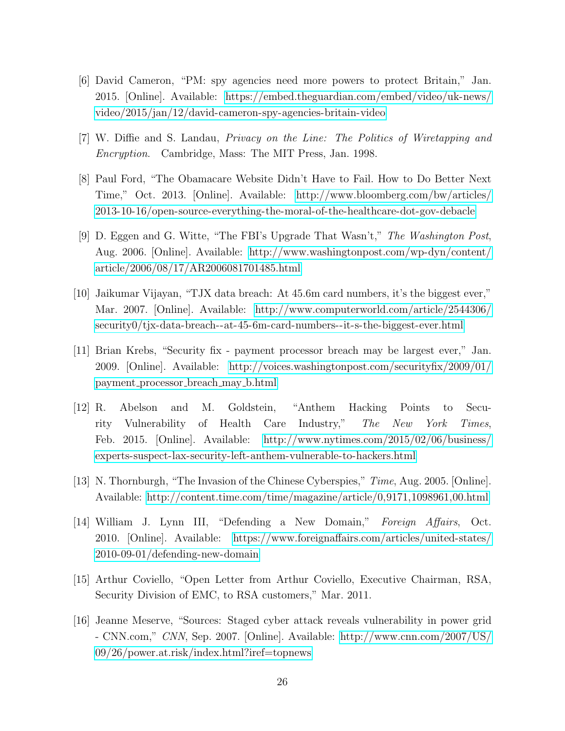- <span id="page-26-0"></span>[6] David Cameron, "PM: spy agencies need more powers to protect Britain," Jan. 2015. [Online]. Available: [https://embed.theguardian.com/embed/video/uk-news/](https://embed.theguardian.com/embed/video/uk-news/video/2015/jan/12/david-cameron-spy-agencies-britain-video) [video/2015/jan/12/david-cameron-spy-agencies-britain-video](https://embed.theguardian.com/embed/video/uk-news/video/2015/jan/12/david-cameron-spy-agencies-britain-video)
- <span id="page-26-1"></span>[7] W. Diffie and S. Landau, Privacy on the Line: The Politics of Wiretapping and Encryption. Cambridge, Mass: The MIT Press, Jan. 1998.
- <span id="page-26-2"></span>[8] Paul Ford, "The Obamacare Website Didn't Have to Fail. How to Do Better Next Time," Oct. 2013. [Online]. Available: [http://www.bloomberg.com/bw/articles/](http://www.bloomberg.com/bw/articles/2013-10-16/open-source-everything-the-moral-of-the-healthcare-dot-gov-debacle) [2013-10-16/open-source-everything-the-moral-of-the-healthcare-dot-gov-debacle](http://www.bloomberg.com/bw/articles/2013-10-16/open-source-everything-the-moral-of-the-healthcare-dot-gov-debacle)
- <span id="page-26-3"></span>[9] D. Eggen and G. Witte, "The FBI's Upgrade That Wasn't," The Washington Post, Aug. 2006. [Online]. Available: [http://www.washingtonpost.com/wp-dyn/content/](http://www.washingtonpost.com/wp-dyn/content/article/2006/08/17/AR2006081701485.html) [article/2006/08/17/AR2006081701485.html](http://www.washingtonpost.com/wp-dyn/content/article/2006/08/17/AR2006081701485.html)
- <span id="page-26-4"></span>[10] Jaikumar Vijayan, "TJX data breach: At 45.6m card numbers, it's the biggest ever," Mar. 2007. [Online]. Available: [http://www.computerworld.com/article/2544306/](http://www.computerworld.com/article/2544306/security0/tjx-data-breach--at-45-6m-card-numbers--it-s-the-biggest-ever.html) [security0/tjx-data-breach--at-45-6m-card-numbers--it-s-the-biggest-ever.html](http://www.computerworld.com/article/2544306/security0/tjx-data-breach--at-45-6m-card-numbers--it-s-the-biggest-ever.html)
- <span id="page-26-5"></span>[11] Brian Krebs, "Security fix - payment processor breach may be largest ever," Jan. 2009. [Online]. Available: [http://voices.washingtonpost.com/securityfix/2009/01/](http://voices.washingtonpost.com/securityfix/2009/01/payment_processor_breach_may_b.html) payment [processor](http://voices.washingtonpost.com/securityfix/2009/01/payment_processor_breach_may_b.html) breach may b.html
- <span id="page-26-6"></span>[12] R. Abelson and M. Goldstein, "Anthem Hacking Points to Security Vulnerability of Health Care Industry," The New York Times, Feb. 2015. [Online]. Available: [http://www.nytimes.com/2015/02/06/business/](http://www.nytimes.com/2015/02/06/business/experts-suspect-lax-security-left-anthem-vulnerable-to-hackers.html) [experts-suspect-lax-security-left-anthem-vulnerable-to-hackers.html](http://www.nytimes.com/2015/02/06/business/experts-suspect-lax-security-left-anthem-vulnerable-to-hackers.html)
- <span id="page-26-7"></span>[13] N. Thornburgh, "The Invasion of the Chinese Cyberspies," Time, Aug. 2005. [Online]. Available:<http://content.time.com/time/magazine/article/0,9171,1098961,00.html>
- <span id="page-26-8"></span>[14] William J. Lynn III, "Defending a New Domain," Foreign Affairs, Oct. 2010. [Online]. Available: [https://www.foreignaffairs.com/articles/united-states/](https://www.foreignaffairs.com/articles/united-states/2010-09-01/defending-new-domain) [2010-09-01/defending-new-domain](https://www.foreignaffairs.com/articles/united-states/2010-09-01/defending-new-domain)
- <span id="page-26-9"></span>[15] Arthur Coviello, "Open Letter from Arthur Coviello, Executive Chairman, RSA, Security Division of EMC, to RSA customers," Mar. 2011.
- <span id="page-26-10"></span>[16] Jeanne Meserve, "Sources: Staged cyber attack reveals vulnerability in power grid - CNN.com," CNN, Sep. 2007. [Online]. Available: [http://www.cnn.com/2007/US/](http://www.cnn.com/2007/US/09/26/power.at.risk/index.html?iref=topnews) [09/26/power.at.risk/index.html?iref=topnews](http://www.cnn.com/2007/US/09/26/power.at.risk/index.html?iref=topnews)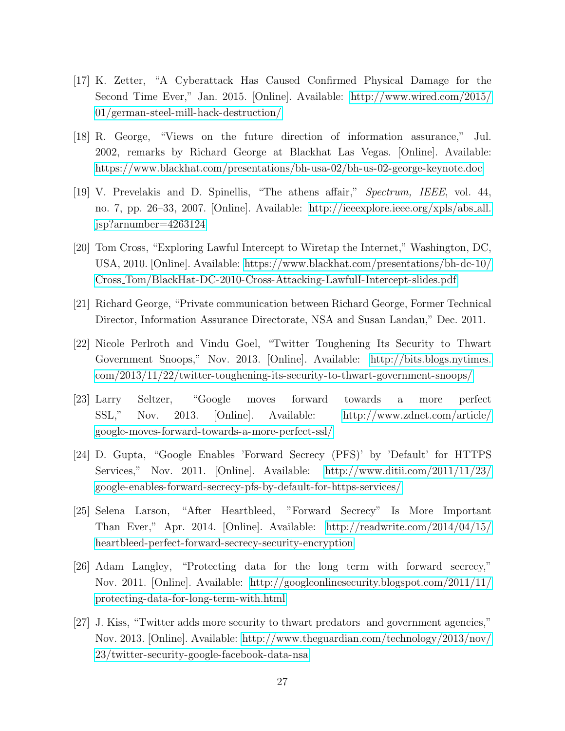- <span id="page-27-0"></span>[17] K. Zetter, "A Cyberattack Has Caused Confirmed Physical Damage for the Second Time Ever," Jan. 2015. [Online]. Available: [http://www.wired.com/2015/](http://www.wired.com/2015/01/german-steel-mill-hack-destruction/) [01/german-steel-mill-hack-destruction/](http://www.wired.com/2015/01/german-steel-mill-hack-destruction/)
- <span id="page-27-1"></span>[18] R. George, "Views on the future direction of information assurance," Jul. 2002, remarks by Richard George at Blackhat Las Vegas. [Online]. Available: <https://www.blackhat.com/presentations/bh-usa-02/bh-us-02-george-keynote.doc>
- <span id="page-27-2"></span>[19] V. Prevelakis and D. Spinellis, "The athens affair," Spectrum, IEEE, vol. 44, no. 7, pp. 26–33, 2007. [Online]. Available: [http://ieeexplore.ieee.org/xpls/abs](http://ieeexplore.ieee.org/xpls/abs_all.jsp?arnumber=4263124) all. [jsp?arnumber=4263124](http://ieeexplore.ieee.org/xpls/abs_all.jsp?arnumber=4263124)
- <span id="page-27-3"></span>[20] Tom Cross, "Exploring Lawful Intercept to Wiretap the Internet," Washington, DC, USA, 2010. [Online]. Available: [https://www.blackhat.com/presentations/bh-dc-10/](https://www.blackhat.com/presentations/bh-dc-10/Cross_Tom/BlackHat-DC-2010-Cross-Attacking-LawfulI-Intercept-slides.pdf) Cross [Tom/BlackHat-DC-2010-Cross-Attacking-LawfulI-Intercept-slides.pdf](https://www.blackhat.com/presentations/bh-dc-10/Cross_Tom/BlackHat-DC-2010-Cross-Attacking-LawfulI-Intercept-slides.pdf)
- <span id="page-27-4"></span>[21] Richard George, "Private communication between Richard George, Former Technical Director, Information Assurance Directorate, NSA and Susan Landau," Dec. 2011.
- <span id="page-27-5"></span>[22] Nicole Perlroth and Vindu Goel, "Twitter Toughening Its Security to Thwart Government Snoops," Nov. 2013. [Online]. Available: [http://bits.blogs.nytimes.](http://bits.blogs.nytimes.com/2013/11/22/twitter-toughening-its-security-to-thwart-government-snoops/) [com/2013/11/22/twitter-toughening-its-security-to-thwart-government-snoops/](http://bits.blogs.nytimes.com/2013/11/22/twitter-toughening-its-security-to-thwart-government-snoops/)
- <span id="page-27-6"></span>[23] Larry Seltzer, "Google moves forward towards a more perfect SSL," Nov. 2013. [Online]. Available: [http://www.zdnet.com/article/](http://www.zdnet.com/article/google-moves-forward-towards-a-more-perfect-ssl/) [google-moves-forward-towards-a-more-perfect-ssl/](http://www.zdnet.com/article/google-moves-forward-towards-a-more-perfect-ssl/)
- <span id="page-27-7"></span>[24] D. Gupta, "Google Enables 'Forward Secrecy (PFS)' by 'Default' for HTTPS Services," Nov. 2011. [Online]. Available: [http://www.ditii.com/2011/11/23/](http://www.ditii.com/2011/11/23/google-enables-forward-secrecy-pfs-by-default-for-https-services/) [google-enables-forward-secrecy-pfs-by-default-for-https-services/](http://www.ditii.com/2011/11/23/google-enables-forward-secrecy-pfs-by-default-for-https-services/)
- <span id="page-27-8"></span>[25] Selena Larson, "After Heartbleed, "Forward Secrecy" Is More Important Than Ever," Apr. 2014. [Online]. Available: [http://readwrite.com/2014/04/15/](http://readwrite.com/2014/04/15/heartbleed-perfect-forward-secrecy-security-encryption) [heartbleed-perfect-forward-secrecy-security-encryption](http://readwrite.com/2014/04/15/heartbleed-perfect-forward-secrecy-security-encryption)
- <span id="page-27-9"></span>[26] Adam Langley, "Protecting data for the long term with forward secrecy," Nov. 2011. [Online]. Available: [http://googleonlinesecurity.blogspot.com/2011/11/](http://googleonlinesecurity.blogspot.com/2011/11/protecting-data-for-long-term-with.html) [protecting-data-for-long-term-with.html](http://googleonlinesecurity.blogspot.com/2011/11/protecting-data-for-long-term-with.html)
- <span id="page-27-10"></span>[27] J. Kiss, "Twitter adds more security to thwart predators and government agencies," Nov. 2013. [Online]. Available: [http://www.theguardian.com/technology/2013/nov/](http://www.theguardian.com/technology/2013/nov/23/twitter-security-google-facebook-data-nsa) [23/twitter-security-google-facebook-data-nsa](http://www.theguardian.com/technology/2013/nov/23/twitter-security-google-facebook-data-nsa)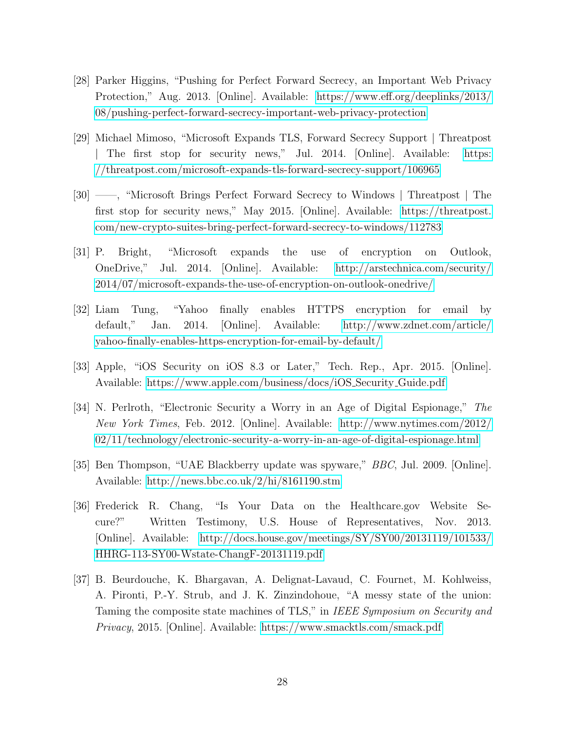- <span id="page-28-0"></span>[28] Parker Higgins, "Pushing for Perfect Forward Secrecy, an Important Web Privacy Protection," Aug. 2013. [Online]. Available: [https://www.eff.org/deeplinks/2013/](https://www.eff.org/deeplinks/2013/08/pushing-perfect-forward-secrecy-important-web-privacy-protection) [08/pushing-perfect-forward-secrecy-important-web-privacy-protection](https://www.eff.org/deeplinks/2013/08/pushing-perfect-forward-secrecy-important-web-privacy-protection)
- <span id="page-28-1"></span>[29] Michael Mimoso, "Microsoft Expands TLS, Forward Secrecy Support | Threatpost | The first stop for security news," Jul. 2014. [Online]. Available: [https:](https://threatpost.com/microsoft-expands-tls-forward-secrecy-support/106965) [//threatpost.com/microsoft-expands-tls-forward-secrecy-support/106965](https://threatpost.com/microsoft-expands-tls-forward-secrecy-support/106965)
- <span id="page-28-2"></span>[30] ——, "Microsoft Brings Perfect Forward Secrecy to Windows | Threatpost | The first stop for security news," May 2015. [Online]. Available: [https://threatpost.](https://threatpost.com/new-crypto-suites-bring-perfect-forward-secrecy-to-windows/112783) [com/new-crypto-suites-bring-perfect-forward-secrecy-to-windows/112783](https://threatpost.com/new-crypto-suites-bring-perfect-forward-secrecy-to-windows/112783)
- <span id="page-28-3"></span>[31] P. Bright, "Microsoft expands the use of encryption on Outlook, OneDrive," Jul. 2014. [Online]. Available: [http://arstechnica.com/security/](http://arstechnica.com/security/2014/07/microsoft-expands-the-use-of-encryption-on-outlook-onedrive/) [2014/07/microsoft-expands-the-use-of-encryption-on-outlook-onedrive/](http://arstechnica.com/security/2014/07/microsoft-expands-the-use-of-encryption-on-outlook-onedrive/)
- <span id="page-28-4"></span>[32] Liam Tung, "Yahoo finally enables HTTPS encryption for email by default," Jan. 2014. [Online]. Available: [http://www.zdnet.com/article/](http://www.zdnet.com/article/yahoo-finally-enables-https-encryption-for-email-by-default/) [yahoo-finally-enables-https-encryption-for-email-by-default/](http://www.zdnet.com/article/yahoo-finally-enables-https-encryption-for-email-by-default/)
- <span id="page-28-5"></span>[33] Apple, "iOS Security on iOS 8.3 or Later," Tech. Rep., Apr. 2015. [Online]. Available: [https://www.apple.com/business/docs/iOS](https://www.apple.com/business/docs/iOS_Security_Guide.pdf) Security Guide.pdf
- <span id="page-28-6"></span>[34] N. Perlroth, "Electronic Security a Worry in an Age of Digital Espionage," The New York Times, Feb. 2012. [Online]. Available: [http://www.nytimes.com/2012/](http://www.nytimes.com/2012/02/11/technology/electronic-security-a-worry-in-an-age-of-digital-espionage.html) [02/11/technology/electronic-security-a-worry-in-an-age-of-digital-espionage.html](http://www.nytimes.com/2012/02/11/technology/electronic-security-a-worry-in-an-age-of-digital-espionage.html)
- <span id="page-28-7"></span>[35] Ben Thompson, "UAE Blackberry update was spyware," BBC, Jul. 2009. [Online]. Available:<http://news.bbc.co.uk/2/hi/8161190.stm>
- <span id="page-28-8"></span>[36] Frederick R. Chang, "Is Your Data on the Healthcare.gov Website Secure?" Written Testimony, U.S. House of Representatives, Nov. 2013. [Online]. Available: [http://docs.house.gov/meetings/SY/SY00/20131119/101533/](http://docs.house.gov/meetings/SY/SY00/20131119/101533/HHRG-113-SY00-Wstate-ChangF-20131119.pdf) [HHRG-113-SY00-Wstate-ChangF-20131119.pdf](http://docs.house.gov/meetings/SY/SY00/20131119/101533/HHRG-113-SY00-Wstate-ChangF-20131119.pdf)
- <span id="page-28-9"></span>[37] B. Beurdouche, K. Bhargavan, A. Delignat-Lavaud, C. Fournet, M. Kohlweiss, A. Pironti, P.-Y. Strub, and J. K. Zinzindohoue, "A messy state of the union: Taming the composite state machines of TLS," in IEEE Symposium on Security and Privacy, 2015. [Online]. Available:<https://www.smacktls.com/smack.pdf>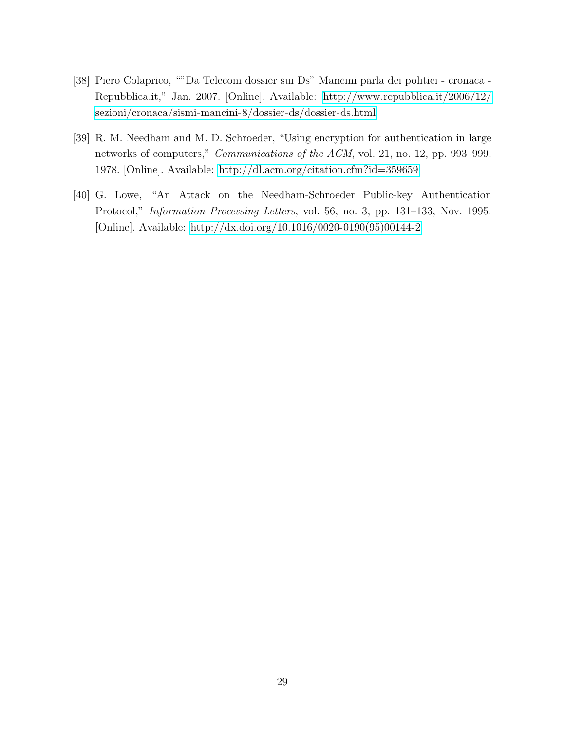- <span id="page-29-0"></span>[38] Piero Colaprico, ""Da Telecom dossier sui Ds" Mancini parla dei politici - cronaca - Repubblica.it," Jan. 2007. [Online]. Available: [http://www.repubblica.it/2006/12/](http://www.repubblica.it/2006/12/sezioni/cronaca/sismi-mancini-8/dossier-ds/dossier-ds.html) [sezioni/cronaca/sismi-mancini-8/dossier-ds/dossier-ds.html](http://www.repubblica.it/2006/12/sezioni/cronaca/sismi-mancini-8/dossier-ds/dossier-ds.html)
- <span id="page-29-1"></span>[39] R. M. Needham and M. D. Schroeder, "Using encryption for authentication in large networks of computers," Communications of the ACM, vol. 21, no. 12, pp. 993–999, 1978. [Online]. Available:<http://dl.acm.org/citation.cfm?id=359659>
- <span id="page-29-2"></span>[40] G. Lowe, "An Attack on the Needham-Schroeder Public-key Authentication Protocol," Information Processing Letters, vol. 56, no. 3, pp. 131–133, Nov. 1995. [Online]. Available: [http://dx.doi.org/10.1016/0020-0190\(95\)00144-2](http://dx.doi.org/10.1016/0020-0190(95)00144-2)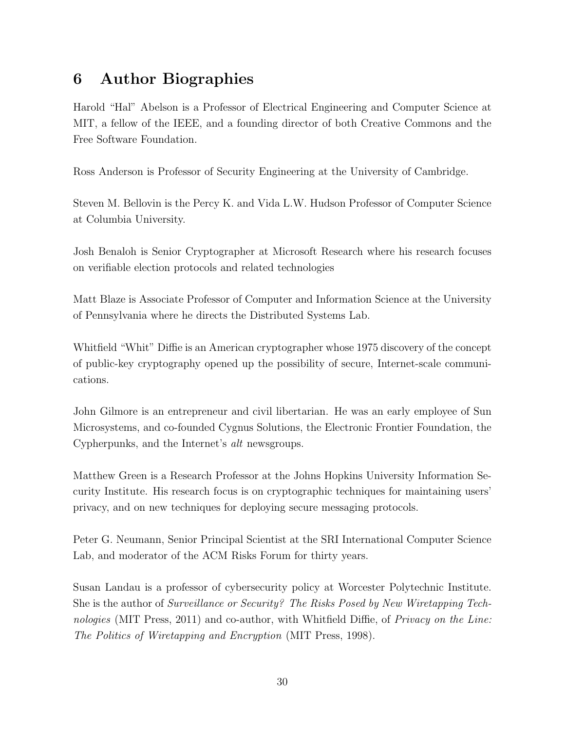## <span id="page-30-0"></span>6 Author Biographies

Harold "Hal" Abelson is a Professor of Electrical Engineering and Computer Science at MIT, a fellow of the IEEE, and a founding director of both Creative Commons and the Free Software Foundation.

Ross Anderson is Professor of Security Engineering at the University of Cambridge.

Steven M. Bellovin is the Percy K. and Vida L.W. Hudson Professor of Computer Science at Columbia University.

Josh Benaloh is Senior Cryptographer at Microsoft Research where his research focuses on verifiable election protocols and related technologies

Matt Blaze is Associate Professor of Computer and Information Science at the University of Pennsylvania where he directs the Distributed Systems Lab.

Whitfield "Whit" Diffie is an American cryptographer whose 1975 discovery of the concept of public-key cryptography opened up the possibility of secure, Internet-scale communications.

John Gilmore is an entrepreneur and civil libertarian. He was an early employee of Sun Microsystems, and co-founded Cygnus Solutions, the Electronic Frontier Foundation, the Cypherpunks, and the Internet's alt newsgroups.

Matthew Green is a Research Professor at the Johns Hopkins University Information Security Institute. His research focus is on cryptographic techniques for maintaining users' privacy, and on new techniques for deploying secure messaging protocols.

Peter G. Neumann, Senior Principal Scientist at the SRI International Computer Science Lab, and moderator of the ACM Risks Forum for thirty years.

Susan Landau is a professor of cybersecurity policy at Worcester Polytechnic Institute. She is the author of Surveillance or Security? The Risks Posed by New Wiretapping Technologies (MIT Press, 2011) and co-author, with Whitfield Diffie, of Privacy on the Line: The Politics of Wiretapping and Encryption (MIT Press, 1998).